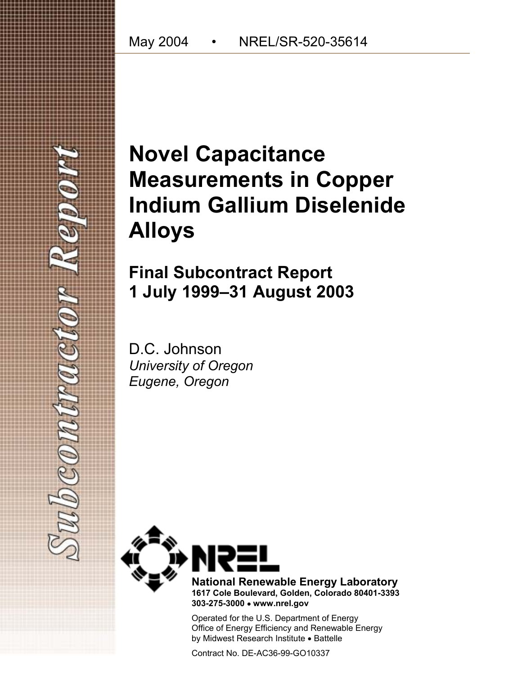# **Novel Capacitance Measurements in Copper Indium Gallium Diselenide Alloys**

**Final Subcontract Report 1 July 1999–31 August 2003** 

D.C. Johnson *University of Oregon Eugene, Oregon* 

 $160$   $(0.001)$ 



**National Renewable Energy Laboratory 1617 Cole Boulevard, Golden, Colorado 80401-3393 303-275-3000** • **www.nrel.gov** 

Operated for the U.S. Department of Energy Office of Energy Efficiency and Renewable Energy by Midwest Research Institute • Battelle

Contract No. DE-AC36-99-GO10337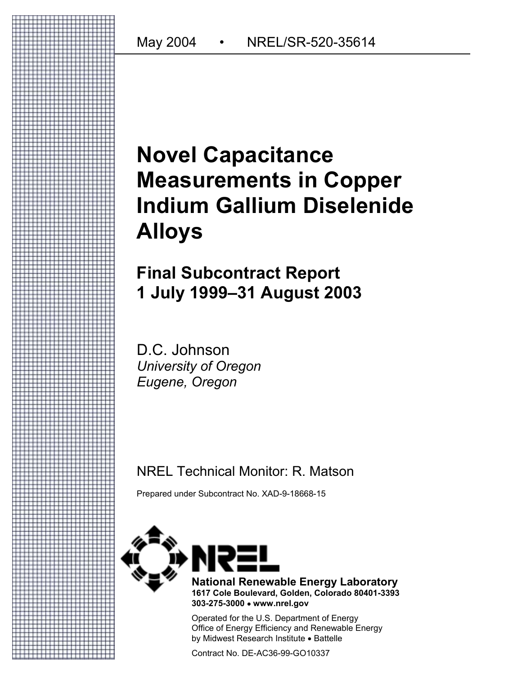# **Novel Capacitance Measurements in Copper Indium Gallium Diselenide Alloys**

# **Final Subcontract Report 1 July 1999–31 August 2003**

D.C. Johnson *University of Oregon Eugene, Oregon*

# NREL Technical Monitor: R. Matson

Prepared under Subcontract No. XAD-9-18668-15



**National Renewable Energy Laboratory 1617 Cole Boulevard, Golden, Colorado 80401-3393 303-275-3000** • **www.nrel.gov** 

Operated for the U.S. Department of Energy Office of Energy Efficiency and Renewable Energy by Midwest Research Institute • Battelle

Contract No. DE-AC36-99-GO10337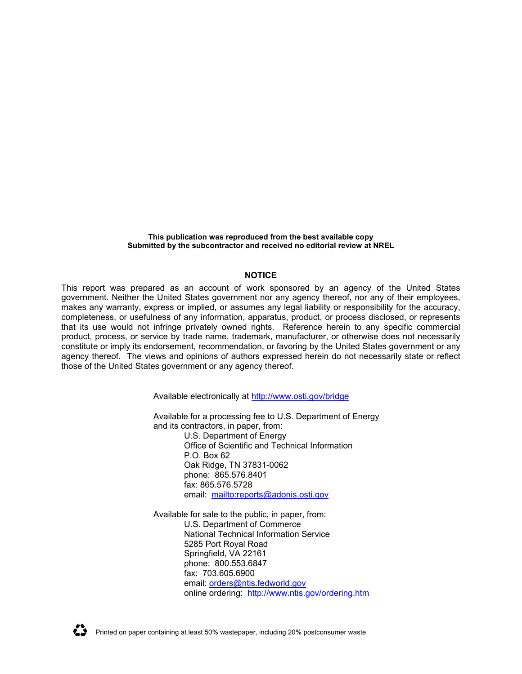**This publication was reproduced from the best available copy Submitted by the subcontractor and received no editorial review at NREL**

#### **NOTICE**

This report was prepared as an account of work sponsored by an agency of the United States government. Neither the United States government nor any agency thereof, nor any of their employees, makes any warranty, express or implied, or assumes any legal liability or responsibility for the accuracy, completeness, or usefulness of any information, apparatus, product, or process disclosed, or represents that its use would not infringe privately owned rights. Reference herein to any specific commercial product, process, or service by trade name, trademark, manufacturer, or otherwise does not necessarily constitute or imply its endorsement, recommendation, or favoring by the United States government or any agency thereof. The views and opinions of authors expressed herein do not necessarily state or reflect those of the United States government or any agency thereof.

Available electronically at<http://www.osti.gov/bridge>

Available for a processing fee to U.S. Department of Energy and its contractors, in paper, from:

> U.S. Department of Energy Office of Scientific and Technical Information P.O. Box 62 Oak Ridge, TN 37831-0062 phone: 865.576.8401 fax: 865.576.5728 email: <mailto:reports@adonis.osti.gov>

Available for sale to the public, in paper, from: U.S. Department of Commerce National Technical Information Service 5285 Port Royal Road Springfield, VA 22161 phone: 800.553.6847 fax: 703.605.6900 email: [orders@ntis.fedworld.gov](mailto:orders@ntis.fedworld.gov) online ordering: <http://www.ntis.gov/ordering.htm>

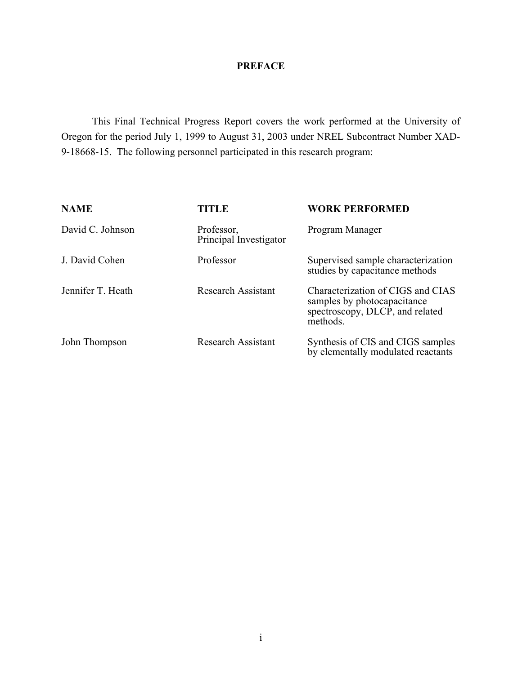## **PREFACE**

This Final Technical Progress Report covers the work performed at the University of Oregon for the period July 1, 1999 to August 31, 2003 under NREL Subcontract Number XAD-9-18668-15. The following personnel participated in this research program:

| <b>NAME</b>       | <b>TITLE</b>                         | <b>WORK PERFORMED</b>                                                                                           |
|-------------------|--------------------------------------|-----------------------------------------------------------------------------------------------------------------|
| David C. Johnson  | Professor,<br>Principal Investigator | Program Manager                                                                                                 |
| J. David Cohen    | Professor                            | Supervised sample characterization<br>studies by capacitance methods                                            |
| Jennifer T. Heath | <b>Research Assistant</b>            | Characterization of CIGS and CIAS<br>samples by photocapacitance<br>spectroscopy, DLCP, and related<br>methods. |
| John Thompson     | <b>Research Assistant</b>            | Synthesis of CIS and CIGS samples<br>by elementally modulated reactants                                         |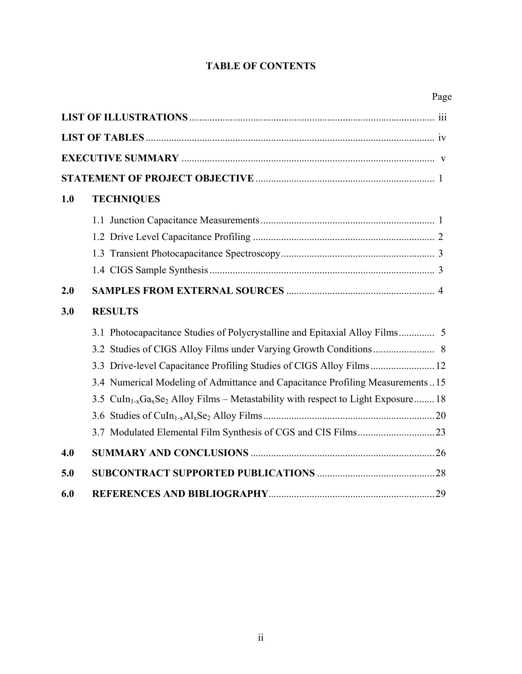# **TABLE OF CONTENTS**

| 1.0 | <b>TECHNIQUES</b>                                                                                                     |  |
|-----|-----------------------------------------------------------------------------------------------------------------------|--|
|     |                                                                                                                       |  |
|     |                                                                                                                       |  |
|     |                                                                                                                       |  |
|     |                                                                                                                       |  |
| 2.0 |                                                                                                                       |  |
| 3.0 | <b>RESULTS</b>                                                                                                        |  |
|     |                                                                                                                       |  |
|     |                                                                                                                       |  |
|     |                                                                                                                       |  |
|     | 3.4 Numerical Modeling of Admittance and Capacitance Profiling Measurements15                                         |  |
|     | 3.5 CuIn <sub>1-x</sub> Ga <sub>x</sub> Se <sub>2</sub> Alloy Films – Metastability with respect to Light Exposure 18 |  |
|     |                                                                                                                       |  |
|     |                                                                                                                       |  |
| 4.0 |                                                                                                                       |  |
| 5.0 |                                                                                                                       |  |
| 6.0 |                                                                                                                       |  |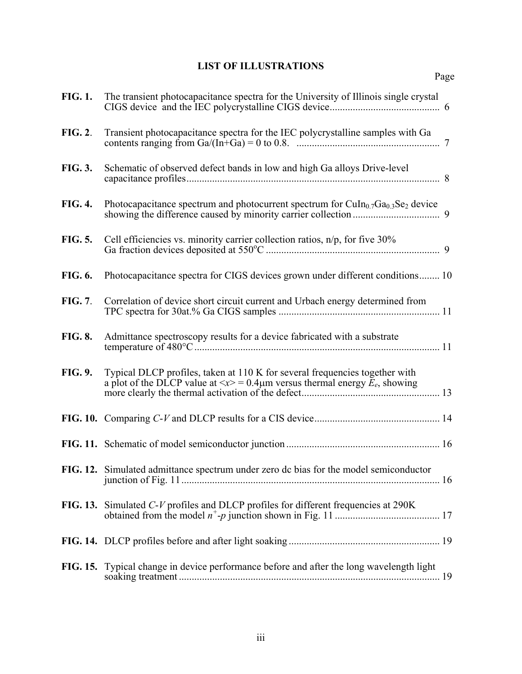# **LIST OF ILLUSTRATIONS**

<span id="page-5-0"></span>

| <b>FIG. 1.</b> | The transient photocapacitance spectra for the University of Illinois single crystal                                                                                                   |  |
|----------------|----------------------------------------------------------------------------------------------------------------------------------------------------------------------------------------|--|
| <b>FIG. 2.</b> | Transient photocapacitance spectra for the IEC polycrystalline samples with Ga                                                                                                         |  |
| <b>FIG. 3.</b> | Schematic of observed defect bands in low and high Ga alloys Drive-level                                                                                                               |  |
| <b>FIG. 4.</b> | Photocapacitance spectrum and photocurrent spectrum for $CuIn0.7Ga0.3Se2$ device                                                                                                       |  |
| <b>FIG. 5.</b> | Cell efficiencies vs. minority carrier collection ratios, $n/p$ , for five 30%                                                                                                         |  |
| FIG. 6.        | Photocapacitance spectra for CIGS devices grown under different conditions 10                                                                                                          |  |
| <b>FIG. 7.</b> | Correlation of device short circuit current and Urbach energy determined from                                                                                                          |  |
| <b>FIG. 8.</b> | Admittance spectroscopy results for a device fabricated with a substrate                                                                                                               |  |
| FIG. 9.        | Typical DLCP profiles, taken at 110 K for several frequencies together with<br>a plot of the DLCP value at $\langle x \rangle = 0.4 \mu$ m versus thermal energy $\bar{E}_e$ , showing |  |
|                |                                                                                                                                                                                        |  |
|                |                                                                                                                                                                                        |  |
|                | FIG. 12. Simulated admittance spectrum under zero dc bias for the model semiconductor                                                                                                  |  |
|                | FIG. 13. Simulated C-V profiles and DLCP profiles for different frequencies at 290K                                                                                                    |  |
|                |                                                                                                                                                                                        |  |
|                | FIG. 15. Typical change in device performance before and after the long wavelength light                                                                                               |  |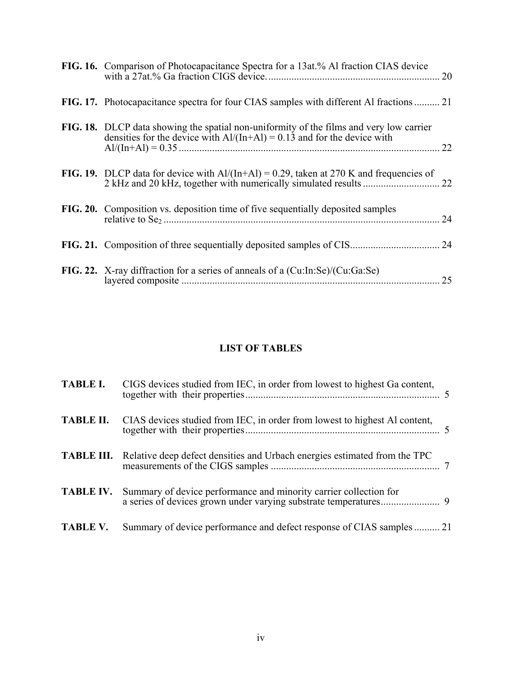<span id="page-6-0"></span>

| FIG. 16. Comparison of Photocapacitance Spectra for a 13at.% Al fraction CIAS device                                                                                 | 20 |
|----------------------------------------------------------------------------------------------------------------------------------------------------------------------|----|
| <b>FIG. 17.</b> Photocapacitance spectra for four CIAS samples with different Al fractions  21                                                                       |    |
| FIG. 18. DLCP data showing the spatial non-uniformity of the films and very low carrier<br>densities for the device with $Al/(In+Al) = 0.13$ and for the device with |    |
| FIG. 19. DLCP data for device with $Al/(In+Al) = 0.29$ , taken at 270 K and frequencies of                                                                           |    |
| FIG. 20. Composition vs. deposition time of five sequentially deposited samples                                                                                      |    |
|                                                                                                                                                                      |    |
| FIG. 22. X-ray diffraction for a series of anneals of a (Cu:In:Se)/(Cu:Ga:Se)                                                                                        | 25 |

# **LIST OF TABLES**

|                 | <b>TABLE I.</b> CIGS devices studied from IEC, in order from lowest to highest Ga content,  |  |
|-----------------|---------------------------------------------------------------------------------------------|--|
|                 | <b>TABLE II.</b> CIAS devices studied from IEC, in order from lowest to highest Al content, |  |
|                 | <b>TABLE III.</b> Relative deep defect densities and Urbach energies estimated from the TPC |  |
|                 | <b>TABLE IV.</b> Summary of device performance and minority carrier collection for          |  |
| <b>TABLE V.</b> | Summary of device performance and defect response of CIAS samples  21                       |  |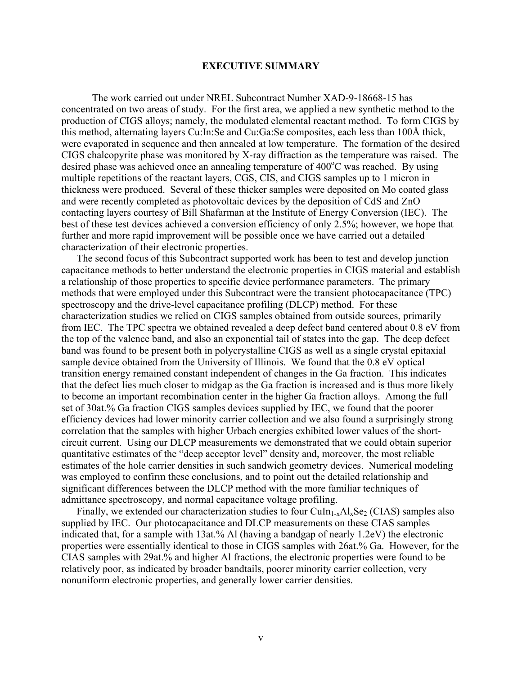#### **EXECUTIVE SUMMARY**

<span id="page-7-0"></span> The work carried out under NREL Subcontract Number XAD-9-18668-15 has concentrated on two areas of study. For the first area, we applied a new synthetic method to the production of CIGS alloys; namely, the modulated elemental reactant method. To form CIGS by this method, alternating layers Cu:In:Se and Cu:Ga:Se composites, each less than 100Å thick, were evaporated in sequence and then annealed at low temperature. The formation of the desired CIGS chalcopyrite phase was monitored by X-ray diffraction as the temperature was raised. The desired phase was achieved once an annealing temperature of  $400^{\circ}$ C was reached. By using multiple repetitions of the reactant layers, CGS, CIS, and CIGS samples up to 1 micron in thickness were produced. Several of these thicker samples were deposited on Mo coated glass and were recently completed as photovoltaic devices by the deposition of CdS and ZnO contacting layers courtesy of Bill Shafarman at the Institute of Energy Conversion (IEC). The best of these test devices achieved a conversion efficiency of only 2.5%; however, we hope that further and more rapid improvement will be possible once we have carried out a detailed characterization of their electronic properties.

The second focus of this Subcontract supported work has been to test and develop junction capacitance methods to better understand the electronic properties in CIGS material and establish a relationship of those properties to specific device performance parameters. The primary methods that were employed under this Subcontract were the transient photocapacitance (TPC) spectroscopy and the drive-level capacitance profiling (DLCP) method. For these characterization studies we relied on CIGS samples obtained from outside sources, primarily from IEC. The TPC spectra we obtained revealed a deep defect band centered about 0.8 eV from the top of the valence band, and also an exponential tail of states into the gap. The deep defect band was found to be present both in polycrystalline CIGS as well as a single crystal epitaxial sample device obtained from the University of Illinois. We found that the 0.8 eV optical transition energy remained constant independent of changes in the Ga fraction. This indicates that the defect lies much closer to midgap as the Ga fraction is increased and is thus more likely to become an important recombination center in the higher Ga fraction alloys. Among the full set of 30at.% Ga fraction CIGS samples devices supplied by IEC, we found that the poorer efficiency devices had lower minority carrier collection and we also found a surprisingly strong correlation that the samples with higher Urbach energies exhibited lower values of the shortcircuit current. Using our DLCP measurements we demonstrated that we could obtain superior quantitative estimates of the "deep acceptor level" density and, moreover, the most reliable estimates of the hole carrier densities in such sandwich geometry devices. Numerical modeling was employed to confirm these conclusions, and to point out the detailed relationship and significant differences between the DLCP method with the more familiar techniques of admittance spectroscopy, and normal capacitance voltage profiling.

Finally, we extended our characterization studies to four  $CuIn<sub>1-x</sub>Al<sub>x</sub>Se<sub>2</sub> (CIAS)$  samples also supplied by IEC. Our photocapacitance and DLCP measurements on these CIAS samples indicated that, for a sample with 13at.% Al (having a bandgap of nearly 1.2eV) the electronic properties were essentially identical to those in CIGS samples with 26at.% Ga. However, for the CIAS samples with 29at.% and higher Al fractions, the electronic properties were found to be relatively poor, as indicated by broader bandtails, poorer minority carrier collection, very nonuniform electronic properties, and generally lower carrier densities.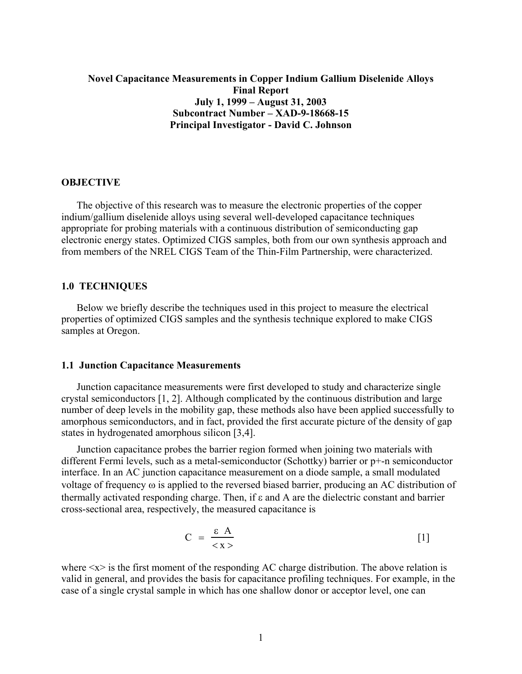## <span id="page-8-0"></span>**Novel Capacitance Measurements in Copper Indium Gallium Diselenide Alloys Final Report July 1, 1999 – August 31, 2003 Subcontract Number – XAD-9-18668-15 Principal Investigator - David C. Johnson**

#### **OBJECTIVE**

 The objective of this research was to measure the electronic properties of the copper indium/gallium diselenide alloys using several well-developed capacitance techniques appropriate for probing materials with a continuous distribution of semiconducting gap electronic energy states. Optimized CIGS samples, both from our own synthesis approach and from members of the NREL CIGS Team of the Thin-Film Partnership, were characterized.

#### **1.0 TECHNIQUES**

Below we briefly describe the techniques used in this project to measure the electrical properties of optimized CIGS samples and the synthesis technique explored to make CIGS samples at Oregon.

#### **1.1 Junction Capacitance Measurements**

Junction capacitance measurements were first developed to study and characterize single crystal semiconductors [[1,](#page-36-1) [2\]](#page-36-2). Although complicated by the continuous distribution and large number of deep levels in the mobility gap, these methods also have been applied successfully to amorphous semiconductors, and in fact, provided the first accurate picture of the density of gap states in hydrogenated amorphous silicon [[3,4\]](#page-36-3).

Junction capacitance probes the barrier region formed when joining two materials with different Fermi levels, such as a metal-semiconductor (Schottky) barrier or p+-n semiconductor interface. In an AC junction capacitance measurement on a diode sample, a small modulated voltage of frequency ω is applied to the reversed biased barrier, producing an AC distribution of thermally activated responding charge. Then, if ε and A are the dielectric constant and barrier cross-sectional area, respectively, the measured capacitance is

<span id="page-8-1"></span>
$$
C = \frac{\varepsilon A}{\langle x \rangle} \tag{1}
$$

where  $\langle x \rangle$  is the first moment of the responding AC charge distribution. The above relation is valid in general, and provides the basis for capacitance profiling techniques. For example, in the case of a single crystal sample in which has one shallow donor or acceptor level, one can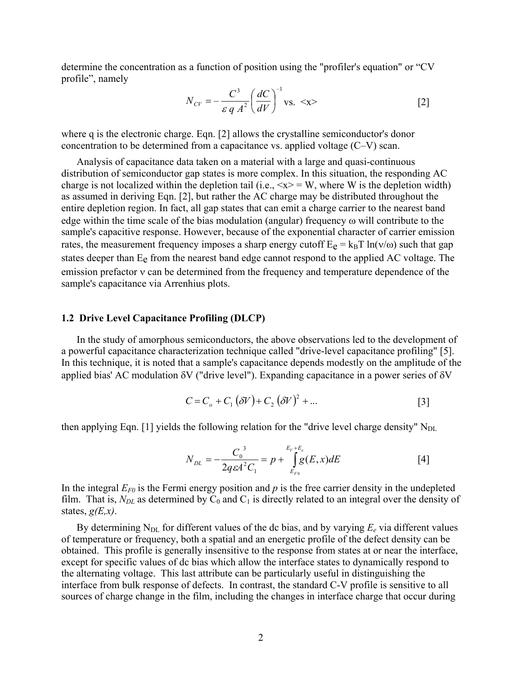<span id="page-9-0"></span>determine the concentration as a function of position using the "profiler's equation" or "CV profile", namely

$$
N_{CV} = -\frac{C^3}{\varepsilon q A^2} \left(\frac{dC}{dV}\right)^{-1} \text{vs.} \ll \text{x} > \tag{2}
$$

where q is the electronic charge. Eqn. [2] allows the crystalline semiconductor's donor concentration to be determined from a capacitance vs. applied voltage (C–V) scan.

Analysis of capacitance data taken on a material with a large and quasi-continuous distribution of semiconductor gap states is more complex. In this situation, the responding AC charge is not localized within the depletion tail (i.e.,  $\langle x \rangle = W$ , where W is the depletion width) as assumed in deriving Eqn. [2], but rather the AC charge may be distributed throughout the entire depletion region. In fact, all gap states that can emit a charge carrier to the nearest band edge within the time scale of the bias modulation (angular) frequency ω will contribute to the sample's capacitive response. However, because of the exponential character of carrier emission rates, the measurement frequency imposes a sharp energy cutoff  $E_e = k_B T \ln(v/\omega)$  such that gap states deeper than Ee from the nearest band edge cannot respond to the applied AC voltage. The emission prefactor ν can be determined from the frequency and temperature dependence of the sample's capacitance via Arrenhius plots.

#### **1.2 Drive Level Capacitance Profiling (DLCP)**

In the study of amorphous semiconductors, the above observations led to the development of a powerful capacitance characterization technique called "drive-level capacitance profiling" [[5\]](#page-36-4). In this technique, it is noted that a sample's capacitance depends modestly on the amplitude of the applied bias' AC modulation δV ("drive level"). Expanding capacitance in a power series of δV

<span id="page-9-1"></span>
$$
C = C_o + C_1 (\delta V) + C_2 (\delta V)^2 + \dots
$$
 [3]

then applying Eqn. [1] yields the following relation for the "drive level charge density"  $N_{DL}$ 

$$
N_{DL} = -\frac{C_0^3}{2q\varepsilon A^2 C_1} = p + \int_{E_{F0}}^{E_V + E_e} g(E, x) dE
$$
 [4]

In the integral  $E_{F0}$  is the Fermi energy position and  $p$  is the free carrier density in the undepleted film. That is,  $N_{DL}$  as determined by  $C_0$  and  $C_1$  is directly related to an integral over the density of states,  $g(E,x)$ .

By determining  $N_{DL}$  for different values of the dc bias, and by varying  $E_e$  via different values of temperature or frequency, both a spatial and an energetic profile of the defect density can be obtained. This profile is generally insensitive to the response from states at or near the interface, except for specific values of dc bias which allow the interface states to dynamically respond to the alternating voltage. This last attribute can be particularly useful in distinguishing the interface from bulk response of defects. In contrast, the standard C-V profile is sensitive to all sources of charge change in the film, including the changes in interface charge that occur during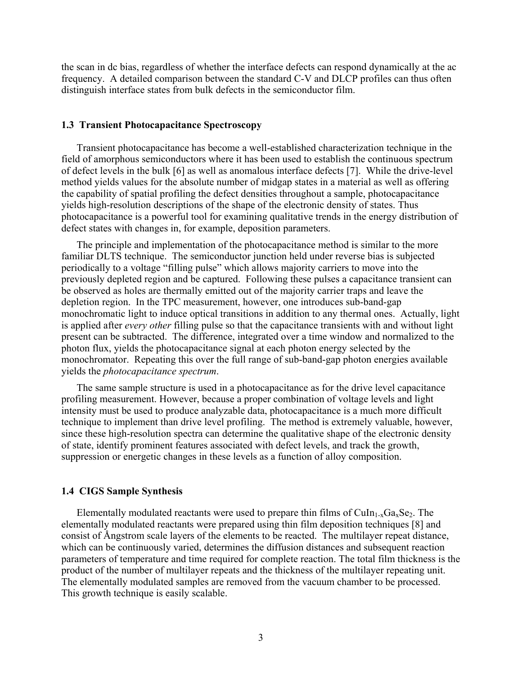<span id="page-10-0"></span>the scan in dc bias, regardless of whether the interface defects can respond dynamically at the ac frequency. A detailed comparison between the standard C-V and DLCP profiles can thus often distinguish interface states from bulk defects in the semiconductor film.

#### **1.3 Transient Photocapacitance Spectroscopy**

Transient photocapacitance has become a well-established characterization technique in the field of amorphous semiconductors where it has been used to establish the continuous spectrum of defect levels in the bulk [[6\]](#page-36-5) as well as anomalous interface defects [\[7\]](#page-36-5). While the drive-level method yields values for the absolute number of midgap states in a material as well as offering the capability of spatial profiling the defect densities throughout a sample, photocapacitance yields high-resolution descriptions of the shape of the electronic density of states. Thus photocapacitance is a powerful tool for examining qualitative trends in the energy distribution of defect states with changes in, for example, deposition parameters.

The principle and implementation of the photocapacitance method is similar to the more familiar DLTS technique. The semiconductor junction held under reverse bias is subjected periodically to a voltage "filling pulse" which allows majority carriers to move into the previously depleted region and be captured. Following these pulses a capacitance transient can be observed as holes are thermally emitted out of the majority carrier traps and leave the depletion region. In the TPC measurement, however, one introduces sub-band-gap monochromatic light to induce optical transitions in addition to any thermal ones. Actually, light is applied after *every other* filling pulse so that the capacitance transients with and without light present can be subtracted. The difference, integrated over a time window and normalized to the photon flux, yields the photocapacitance signal at each photon energy selected by the monochromator. Repeating this over the full range of sub-band-gap photon energies available yields the *photocapacitance spectrum*.

The same sample structure is used in a photocapacitance as for the drive level capacitance profiling measurement. However, because a proper combination of voltage levels and light intensity must be used to produce analyzable data, photocapacitance is a much more difficult technique to implement than drive level profiling. The method is extremely valuable, however, since these high-resolution spectra can determine the qualitative shape of the electronic density of state, identify prominent features associated with defect levels, and track the growth, suppression or energetic changes in these levels as a function of alloy composition.

### **1.4 CIGS Sample Synthesis**

Elementally modulated reactants were used to prepare thin films of  $CuIn_{1-x}Ga_xSe_2$ . The elementally modulated reactants were prepared using thin film deposition techniques [[8\]](#page-36-6) and consist of Ångstrom scale layers of the elements to be reacted. The multilayer repeat distance, which can be continuously varied, determines the diffusion distances and subsequent reaction parameters of temperature and time required for complete reaction. The total film thickness is the product of the number of multilayer repeats and the thickness of the multilayer repeating unit. The elementally modulated samples are removed from the vacuum chamber to be processed. This growth technique is easily scalable.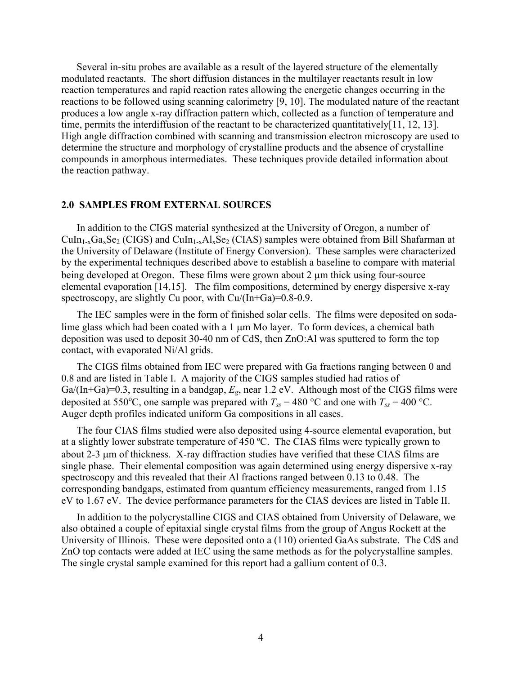<span id="page-11-0"></span>Several in-situ probes are available as a result of the layered structure of the elementally modulated reactants. The short diffusion distances in the multilayer reactants result in low reaction temperatures and rapid reaction rates allowing the energetic changes occurring in the reactions to be followed using scanning calorimetry [[9,](#page-36-7) [10\]](#page-36-7). The modulated nature of the reactant produces a low angle x-ray diffraction pattern which, collected as a function of temperature and time, permits the interdiffusion of the reactant to be characterized quantitatively $[11, 12, 13]$  $[11, 12, 13]$  $[11, 12, 13]$  $[11, 12, 13]$  $[11, 12, 13]$  $[11, 12, 13]$ . High angle diffraction combined with scanning and transmission electron microscopy are used to determine the structure and morphology of crystalline products and the absence of crystalline compounds in amorphous intermediates. These techniques provide detailed information about the reaction pathway.

#### **2.0 SAMPLES FROM EXTERNAL SOURCES**

In addition to the CIGS material synthesized at the University of Oregon, a number of  $Culn_{1-x}Ga_xSe_2 (CIGS)$  and  $CuIn_{1-x}Al_xSe_2 (CIAS)$  samples were obtained from Bill Shafarman at the University of Delaware (Institute of Energy Conversion). These samples were characterized by the experimental techniques described above to establish a baseline to compare with material being developed at Oregon. These films were grown about 2  $\mu$ m thick using four-source elemental evaporation [\[14,15\]](#page-36-9). The film compositions, determined by energy dispersive x-ray spectroscopy, are slightly Cu poor, with Cu/(In+Ga)=0.8-0.9.

The IEC samples were in the form of finished solar cells. The films were deposited on sodalime glass which had been coated with a 1  $\mu$ m Mo layer. To form devices, a chemical bath deposition was used to deposit 30-40 nm of CdS, then ZnO:Al was sputtered to form the top contact, with evaporated Ni/Al grids.

The CIGS films obtained from IEC were prepared with Ga fractions ranging between 0 and 0.8 and are listed in Table I. A majority of the CIGS samples studied had ratios of Ga/(In+Ga)=0.3, resulting in a bandgap, *Eg*, near 1.2 eV. Although most of the CIGS films were deposited at 550°C, one sample was prepared with  $T_{ss} = 480$  °C and one with  $T_{ss} = 400$  °C. Auger depth profiles indicated uniform Ga compositions in all cases.

The four CIAS films studied were also deposited using 4-source elemental evaporation, but at a slightly lower substrate temperature of 450 ºC. The CIAS films were typically grown to about 2-3 µm of thickness. X-ray diffraction studies have verified that these CIAS films are single phase. Their elemental composition was again determined using energy dispersive x-ray spectroscopy and this revealed that their Al fractions ranged between 0.13 to 0.48. The corresponding bandgaps, estimated from quantum efficiency measurements, ranged from 1.15 eV to 1.67 eV. The device performance parameters for the CIAS devices are listed in Table II.

In addition to the polycrystalline CIGS and CIAS obtained from University of Delaware, we also obtained a couple of epitaxial single crystal films from the group of Angus Rockett at the University of Illinois. These were deposited onto a (110) oriented GaAs substrate. The CdS and ZnO top contacts were added at IEC using the same methods as for the polycrystalline samples. The single crystal sample examined for this report had a gallium content of 0.3.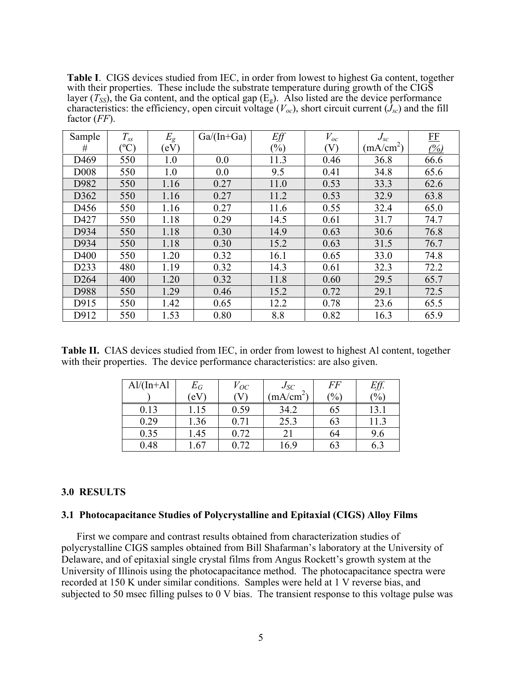<span id="page-12-0"></span>**Table I**. CIGS devices studied from IEC, in order from lowest to highest Ga content, together with their properties. These include the substrate temperature during growth of the CIGS layer  $(T_{SS})$ , the Ga content, and the optical gap  $(E_g)$ . Also listed are the device performance characteristics: the efficiency, open circuit voltage  $(V_{oc})$ , short circuit current  $(J_{sc})$  and the fill factor (*FF*).

| Sample           | $T_{ss}$      | $E_{g}$ | $Ga/(In+Ga)$ | Eff                        | $V_{oc}$ | $J_{sc}$              | FE                       |
|------------------|---------------|---------|--------------|----------------------------|----------|-----------------------|--------------------------|
| #                | $\rm ^{(o}C)$ | (eV)    |              | $\left(\frac{0}{0}\right)$ | (V)      | (mA/cm <sup>2</sup> ) | $\frac{\binom{0}{0}}{0}$ |
| D <sub>469</sub> | 550           | 1.0     | 0.0          | 11.3                       | 0.46     | 36.8                  | 66.6                     |
| D <sub>008</sub> | 550           | 1.0     | 0.0          | 9.5                        | 0.41     | 34.8                  | 65.6                     |
| D982             | 550           | 1.16    | 0.27         | 11.0                       | 0.53     | 33.3                  | 62.6                     |
| D362             | 550           | 1.16    | 0.27         | 11.2                       | 0.53     | 32.9                  | 63.8                     |
| D456             | 550           | 1.16    | 0.27         | 11.6                       | 0.55     | 32.4                  | 65.0                     |
| D427             | 550           | 1.18    | 0.29         | 14.5                       | 0.61     | 31.7                  | 74.7                     |
| D934             | 550           | 1.18    | 0.30         | 14.9                       | 0.63     | 30.6                  | 76.8                     |
| D934             | 550           | 1.18    | 0.30         | 15.2                       | 0.63     | 31.5                  | 76.7                     |
| D400             | 550           | 1.20    | 0.32         | 16.1                       | 0.65     | 33.0                  | 74.8                     |
| D233             | 480           | 1.19    | 0.32         | 14.3                       | 0.61     | 32.3                  | 72.2                     |
| D <sub>264</sub> | 400           | 1.20    | 0.32         | 11.8                       | 0.60     | 29.5                  | 65.7                     |
| D988             | 550           | 1.29    | 0.46         | 15.2                       | 0.72     | 29.1                  | 72.5                     |
| D915             | 550           | 1.42    | 0.65         | 12.2                       | 0.78     | 23.6                  | 65.5                     |
| D912             | 550           | 1.53    | 0.80         | 8.8                        | 0.82     | 16.3                  | 65.9                     |

Table II. CIAS devices studied from IEC, in order from lowest to highest Al content, together with their properties. The device performance characteristics: are also given.

| $Al/(In+A1)$ | $E_G\,$      | $V_{OC}$ | $J_{SC}$           | FF            | Eff.          |
|--------------|--------------|----------|--------------------|---------------|---------------|
|              | $\rm ^{c}eV$ | $\rm V$  | mA/cm <sup>2</sup> | $\frac{1}{2}$ | $\frac{1}{2}$ |
| 0.13         | 1.15         | 0.59     | 34.2               | 65            | 13.1          |
| 0.29         | 1.36         | 0.71     | 25.3               | 63            | 11.3          |
| 0.35         | 1.45         | 0.72     | 21                 | 64            | 9.6           |
| 0.48         | .67          | 0.72     | 16.9               | 63            | 6.3           |

### **3.0 RESULTS**

#### **3.1 Photocapacitance Studies of Polycrystalline and Epitaxial (CIGS) Alloy Films**

First we compare and contrast results obtained from characterization studies of polycrystalline CIGS samples obtained from Bill Shafarman's laboratory at the University of Delaware, and of epitaxial single crystal films from Angus Rockett's growth system at the University of Illinois using the photocapacitance method. The photocapacitance spectra were recorded at 150 K under similar conditions. Samples were held at 1 V reverse bias, and subjected to 50 msec filling pulses to 0 V bias. The transient response to this voltage pulse was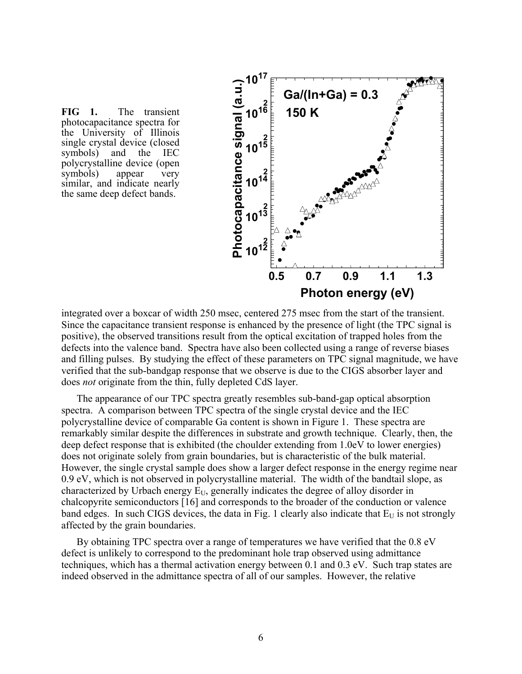**FIG 1.** The transient photocapacitance spectra for the University of Illinois single crystal device (closed symbols) and the IEC polycrystalline device (open symbols) appear very similar, and indicate nearly the same deep defect bands.



integrated over a boxcar of width 250 msec, centered 275 msec from the start of the transient. Since the capacitance transient response is enhanced by the presence of light (the TPC signal is positive), the observed transitions result from the optical excitation of trapped holes from the defects into the valence band. Spectra have also been collected using a range of reverse biases and filling pulses. By studying the effect of these parameters on TPC signal magnitude, we have verified that the sub-bandgap response that we observe is due to the CIGS absorber layer and does *not* originate from the thin, fully depleted CdS layer.

The appearance of our TPC spectra greatly resembles sub-band-gap optical absorption spectra. A comparison between TPC spectra of the single crystal device and the IEC polycrystalline device of comparable Ga content is shown in Figure 1. These spectra are remarkably similar despite the differences in substrate and growth technique. Clearly, then, the deep defect response that is exhibited (the choulder extending from 1.0eV to lower energies) does not originate solely from grain boundaries, but is characteristic of the bulk material. However, the single crystal sample does show a larger defect response in the energy regime near 0.9 eV, which is not observed in polycrystalline material. The width of the bandtail slope, as characterized by Urbach energy  $E_U$ , generally indicates the degree of alloy disorder in chalcopyrite semiconductors [[16\]](#page-36-10) and corresponds to the broader of the conduction or valence band edges. In such CIGS devices, the data in Fig. 1 clearly also indicate that  $E_U$  is not strongly affected by the grain boundaries.

<span id="page-13-0"></span>By obtaining TPC spectra over a range of temperatures we have verified that the 0.8 eV defect is unlikely to correspond to the predominant hole trap observed using admittance techniques, which has a thermal activation energy between 0.1 and 0.3 eV. Such trap states are indeed observed in the admittance spectra of all of our samples. However, the relative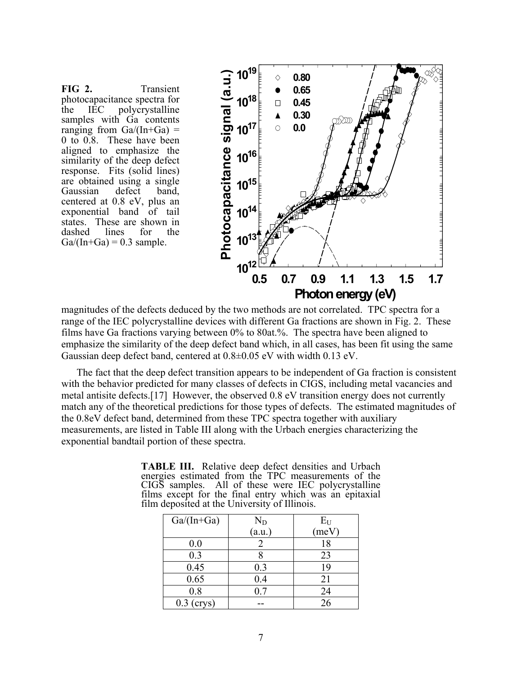FIG 2. Transient photocapacitance spectra for the IEC polycrystalline samples with Ga contents ranging from  $Ga/(In+Ga)$  = 0 to 0.8. These have been aligned to emphasize the similarity of the deep defect response. Fits (solid lines) are obtained using a single Gaussian defect band, centered at 0.8 eV, plus an exponential band of tail states. These are shown in dashed lines for the  $Ga/(In+Ga) = 0.3$  sample.



magnitudes of the defects deduced by the two methods are not correlated. TPC spectra for a range of the IEC polycrystalline devices with different Ga fractions are shown in Fig. 2. These films have Ga fractions varying between 0% to 80at.%. The spectra have been aligned to emphasize the similarity of the deep defect band which, in all cases, has been fit using the same Gaussian deep defect band, centered at 0.8±0.05 eV with width 0.13 eV.

The fact that the deep defect transition appears to be independent of Ga fraction is consistent with the behavior predicted for many classes of defects in CIGS, including metal vacancies and metal antisite defects.[[17\]](#page-36-11) However, the observed 0.8 eV transition energy does not currently match any of the theoretical predictions for those types of defects. The estimated magnitudes of the 0.8eV defect band, determined from these TPC spectra together with auxiliary measurements, are listed in Table III along with the Urbach energies characterizing the exponential bandtail portion of these spectra.

| $\ldots$      |        |       |  |  |  |  |  |
|---------------|--------|-------|--|--|--|--|--|
| $Ga/(In+Ga)$  | $N_D$  | $E_U$ |  |  |  |  |  |
|               | (a.u.) | (meV) |  |  |  |  |  |
| 0.0           | 2      | 18    |  |  |  |  |  |
| 0.3           |        | 23    |  |  |  |  |  |
| 0.45          | 0.3    | 19    |  |  |  |  |  |
| 0.65          | 0.4    | 21    |  |  |  |  |  |
| 0.8           | 0.7    | 24    |  |  |  |  |  |
| (crys)<br>0.3 |        | 26    |  |  |  |  |  |

**TABLE III.** Relative deep defect densities and Urbach energies estimated from the TPC measurements of the CIGS samples. All of these were IEC polycrystalline films except for the final entry which was an epitaxial film deposited at the University of Illinois.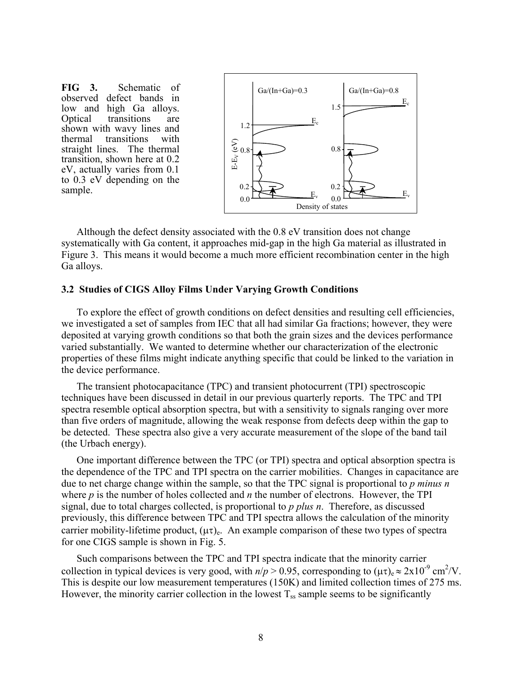<span id="page-15-0"></span>**FIG 3.** Schematic of observed defect bands in low and high Ga alloys. Optical transitions are shown with wavy lines and thermal transitions with straight lines. The thermal transition, shown here at 0.2 eV, actually varies from 0.1 to 0.3 eV depending on the sample.



Although the defect density associated with the 0.8 eV transition does not change systematically with Ga content, it approaches mid-gap in the high Ga material as illustrated in Figure 3. This means it would become a much more efficient recombination center in the high Ga alloys.

#### **3.2****Studies of CIGS Alloy Films Under Varying Growth Conditions**

To explore the effect of growth conditions on defect densities and resulting cell efficiencies, we investigated a set of samples from IEC that all had similar Ga fractions; however, they were deposited at varying growth conditions so that both the grain sizes and the devices performance varied substantially. We wanted to determine whether our characterization of the electronic properties of these films might indicate anything specific that could be linked to the variation in the device performance.

The transient photocapacitance (TPC) and transient photocurrent (TPI) spectroscopic techniques have been discussed in detail in our previous quarterly reports. The TPC and TPI spectra resemble optical absorption spectra, but with a sensitivity to signals ranging over more than five orders of magnitude, allowing the weak response from defects deep within the gap to be detected. These spectra also give a very accurate measurement of the slope of the band tail (the Urbach energy).

One important difference between the TPC (or TPI) spectra and optical absorption spectra is the dependence of the TPC and TPI spectra on the carrier mobilities. Changes in capacitance are due to net charge change within the sample, so that the TPC signal is proportional to *p minus n* where *p* is the number of holes collected and *n* the number of electrons. However, the TPI signal, due to total charges collected, is proportional to *p plus n*. Therefore, as discussed previously, this difference between TPC and TPI spectra allows the calculation of the minority carrier mobility-lifetime product,  $(\mu \tau)_{e}$ . An example comparison of these two types of spectra for one CIGS sample is shown in Fig. 5.

Such comparisons between the TPC and TPI spectra indicate that the minority carrier collection in typical devices is very good, with  $n/p > 0.95$ , corresponding to  $(\mu \tau)_{e} \approx 2 \times 10^{-9}$  cm<sup>2</sup>/V. This is despite our low measurement temperatures (150K) and limited collection times of 275 ms. However, the minority carrier collection in the lowest  $T_{ss}$  sample seems to be significantly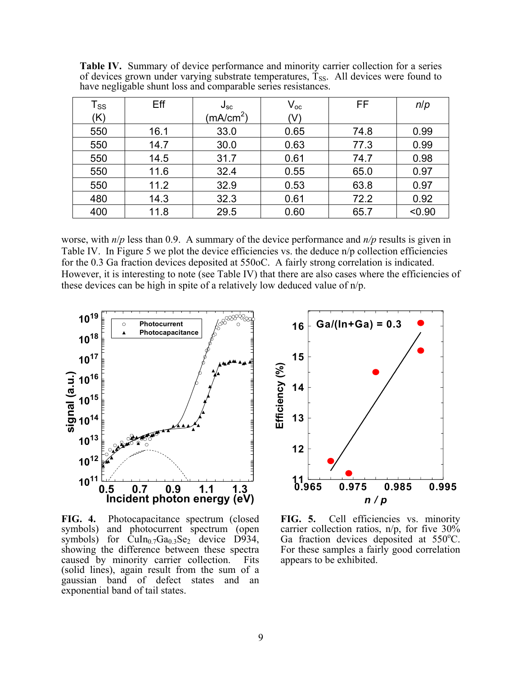| $\mathsf{T}_{\mathsf{SS}}$ | Eff  | $J_{\rm sc}$          | $\mathsf{V}_{\mathsf{oc}}$ | FF   | n/p    |
|----------------------------|------|-----------------------|----------------------------|------|--------|
| (K)                        |      | (mA/cm <sup>2</sup> ) | (V)                        |      |        |
| 550                        | 16.1 | 33.0                  | 0.65                       | 74.8 | 0.99   |
| 550                        | 14.7 | 30.0                  | 0.63                       | 77.3 | 0.99   |
| 550                        | 14.5 | 31.7                  | 0.61                       | 74.7 | 0.98   |
| 550                        | 11.6 | 32.4                  | 0.55                       | 65.0 | 0.97   |
| 550                        | 11.2 | 32.9                  | 0.53                       | 63.8 | 0.97   |
| 480                        | 14.3 | 32.3                  | 0.61                       | 72.2 | 0.92   |
| 400                        | 11.8 | 29.5                  | 0.60                       | 65.7 | < 0.90 |

Table IV. Summary of device performance and minority carrier collection for a series of devices grown under varying substrate temperatures,  $T_{SS}$ . All devices were found to have negligable shunt loss and comparable series resistances.

worse, with *n*/*p* less than 0.9. A summary of the device performance and *n/p* results is given in Table IV. In Figure 5 we plot the device efficiencies vs. the deduce n/p collection efficiencies for the 0.3 Ga fraction devices deposited at 550oC. A fairly strong correlation is indicated. However, it is interesting to note (see Table IV) that there are also cases where the efficiencies of these devices can be high in spite of a relatively low deduced value of n/p.



**FIG. 4.** Photocapacitance spectrum (closed symbols) and photocurrent spectrum (open symbols) for  $\text{CuIn}_{0.7}\text{Ga}_{0.3}\text{Se}_2$  device  $\overrightarrow{D}934$ , showing the difference between these spectra caused by minority carrier collection. Fits (solid lines), again result from the sum of a gaussian band of defect states and an exponential band of tail states.



**FIG. 5.** Cell efficiencies vs. minority carrier collection ratios, n/p, for five 30% Ga fraction devices deposited at 550°C. For these samples a fairly good correlation appears to be exhibited.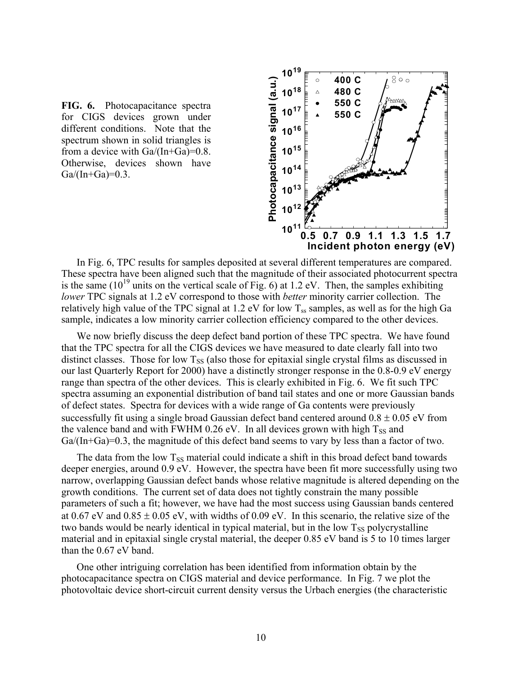



In Fig. 6, TPC results for samples deposited at several different temperatures are compared. These spectra have been aligned such that the magnitude of their associated photocurrent spectra is the same  $(10^{19}$  units on the vertical scale of Fig. 6) at 1.2 eV. Then, the samples exhibiting *lower* TPC signals at 1.2 eV correspond to those with *better* minority carrier collection. The relatively high value of the TPC signal at 1.2 eV for low  $T_{ss}$  samples, as well as for the high Ga sample, indicates a low minority carrier collection efficiency compared to the other devices.

We now briefly discuss the deep defect band portion of these TPC spectra. We have found that the TPC spectra for all the CIGS devices we have measured to date clearly fall into two distinct classes. Those for low  $T_{SS}$  (also those for epitaxial single crystal films as discussed in our last Quarterly Report for 2000) have a distinctly stronger response in the 0.8-0.9 eV energy range than spectra of the other devices. This is clearly exhibited in Fig. 6. We fit such TPC spectra assuming an exponential distribution of band tail states and one or more Gaussian bands of defect states. Spectra for devices with a wide range of Ga contents were previously successfully fit using a single broad Gaussian defect band centered around  $0.8 \pm 0.05$  eV from the valence band and with FWHM 0.26 eV. In all devices grown with high  $T_{SS}$  and Ga/(In+Ga)=0.3, the magnitude of this defect band seems to vary by less than a factor of two.

The data from the low  $T_{SS}$  material could indicate a shift in this broad defect band towards deeper energies, around 0.9 eV. However, the spectra have been fit more successfully using two narrow, overlapping Gaussian defect bands whose relative magnitude is altered depending on the growth conditions. The current set of data does not tightly constrain the many possible parameters of such a fit; however, we have had the most success using Gaussian bands centered at  $0.67$  eV and  $0.85 \pm 0.05$  eV, with widths of  $0.09$  eV. In this scenario, the relative size of the two bands would be nearly identical in typical material, but in the low  $T_{SS}$  polycrystalline material and in epitaxial single crystal material, the deeper 0.85 eV band is 5 to 10 times larger than the 0.67 eV band.

One other intriguing correlation has been identified from information obtain by the photocapacitance spectra on CIGS material and device performance. In Fig. 7 we plot the photovoltaic device short-circuit current density versus the Urbach energies (the characteristic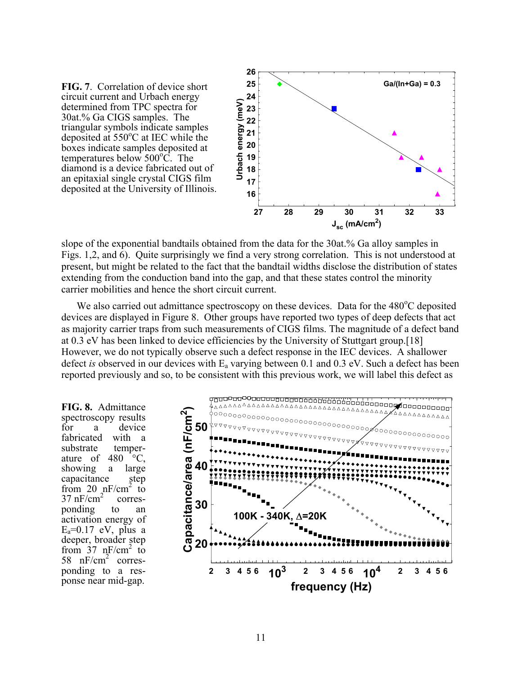**FIG. 7**. Correlation of device short circuit current and Urbach energy determined from TPC spectra for 30at.% Ga CIGS samples. The triangular symbols indicate samples deposited at  $550^{\circ}$ C at IEC while the boxes indicate samples deposited at temperatures below 500<sup>o</sup>C. The diamond is a device fabricated out of an epitaxial single crystal CIGS film deposited at the University of Illinois.



slope of the exponential bandtails obtained from the data for the 30at.% Ga alloy samples in Figs. 1,2, and 6). Quite surprisingly we find a very strong correlation. This is not understood at present, but might be related to the fact that the bandtail widths disclose the distribution of states extending from the conduction band into the gap, and that these states control the minority carrier mobilities and hence the short circuit current.

We also carried out admittance spectroscopy on these devices. Data for the 480°C deposited devices are displayed in Figure 8. Other groups have reported two types of deep defects that act as majority carrier traps from such measurements of CIGS films. The magnitude of a defect band at 0.3 eV has been linked to device efficiencies by the University of Stuttgart group.[[18\]](#page-36-12) However, we do not typically observe such a defect response in the IEC devices. A shallower defect *is* observed in our devices with Ea varying between 0.1 and 0.3 eV. Such a defect has been reported previously and so, to be consistent with this previous work, we will label this defect as

**FIG. 8.** Admittance spectroscopy results for a device fabricated with a substrate temperature of 480  $\degree$ C, showing a large capacitance step from 20  $nF/cm^2$  to  $37 \text{ nF/cm}^2$  corresponding to an activation energy of  $E_a=0.17$  eV, plus a deeper, broader step from  $37 \text{ nF/cm}^2$  to 58  $nF/cm<sup>2</sup>$  corresponding to a response near mid-gap.

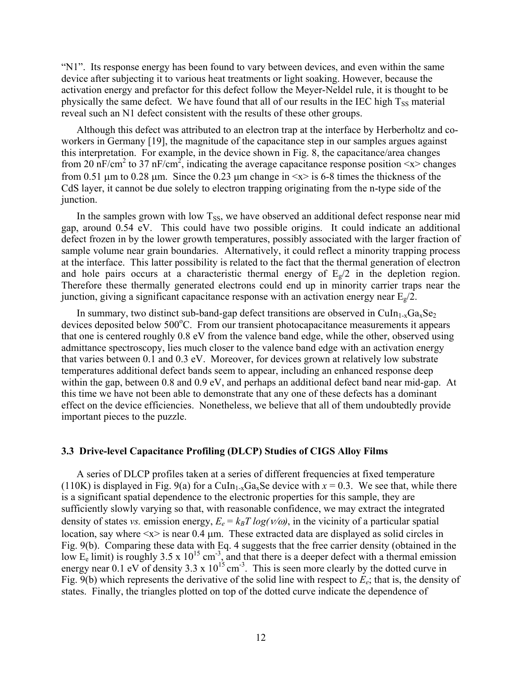<span id="page-19-0"></span>"N1". Its response energy has been found to vary between devices, and even within the same device after subjecting it to various heat treatments or light soaking. However, because the activation energy and prefactor for this defect follow the Meyer-Neldel rule, it is thought to be physically the same defect. We have found that all of our results in the IEC high  $T_{SS}$  material reveal such an N1 defect consistent with the results of these other groups.

<span id="page-19-1"></span>Although this defect was attributed to an electron trap at the interface by Herberholtz and coworkers in Germany [[19\]](#page-36-13), the magnitude of the capacitance step in our samples argues against this interpretation. For example, in the device shown in Fig. 8, the capacitance/area changes from 20 nF/cm<sup>2</sup> to 37 nF/cm<sup>2</sup>, indicating the average capacitance response position  $\langle x \rangle$  changes from 0.51  $\mu$ m to 0.28  $\mu$ m. Since the 0.23  $\mu$ m change in  $\langle x \rangle$  is 6-8 times the thickness of the CdS layer, it cannot be due solely to electron trapping originating from the n-type side of the junction.

In the samples grown with low  $T_{SS}$ , we have observed an additional defect response near mid gap, around 0.54 eV. This could have two possible origins. It could indicate an additional defect frozen in by the lower growth temperatures, possibly associated with the larger fraction of sample volume near grain boundaries. Alternatively, it could reflect a minority trapping process at the interface. This latter possibility is related to the fact that the thermal generation of electron and hole pairs occurs at a characteristic thermal energy of  $E_g/2$  in the depletion region. Therefore these thermally generated electrons could end up in minority carrier traps near the junction, giving a significant capacitance response with an activation energy near  $E_{\nu}/2$ .

In summary, two distinct sub-band-gap defect transitions are observed in CuIn<sub>1-x</sub>Ga<sub>x</sub>Se<sub>2</sub> devices deposited below 500°C. From our transient photocapacitance measurements it appears that one is centered roughly 0.8 eV from the valence band edge, while the other, observed using admittance spectroscopy, lies much closer to the valence band edge with an activation energy that varies between 0.1 and 0.3 eV. Moreover, for devices grown at relatively low substrate temperatures additional defect bands seem to appear, including an enhanced response deep within the gap, between 0.8 and 0.9 eV, and perhaps an additional defect band near mid-gap. At this time we have not been able to demonstrate that any one of these defects has a dominant effect on the device efficiencies. Nonetheless, we believe that all of them undoubtedly provide important pieces to the puzzle.

#### **3.3 Drive-level Capacitance Profiling (DLCP) Studies of CIGS Alloy Films**

A series of DLCP profiles taken at a series of different frequencies at fixed temperature (110K) is displayed in Fig. 9(a) for a CuIn<sub>1-x</sub>Ga<sub>x</sub>Se device with  $x = 0.3$ . We see that, while there is a significant spatial dependence to the electronic properties for this sample, they are sufficiently slowly varying so that, with reasonable confidence, we may extract the integrated density of states *vs.* emission energy,  $E_e = k_B T \log(V/\omega)$ , in the vicinity of a particular spatial location, say where  $\langle x \rangle$  is near 0.4  $\mu$ m. These extracted data are displayed as solid circles in Fig. 9(b). Comparing these data with Eq. 4 suggests that the free carrier density (obtained in the low E<sub>e</sub> limit) is roughly 3.5 x 10<sup>15</sup> cm<sup>-3</sup>, and that there is a deeper defect with a thermal emission energy near 0.1 eV of density 3.3 x  $10^{15}$  cm<sup>-3</sup>. This is seen more clearly by the dotted curve in Fig. 9(b) which represents the derivative of the solid line with respect to *Ee*; that is, the density of states. Finally, the triangles plotted on top of the dotted curve indicate the dependence of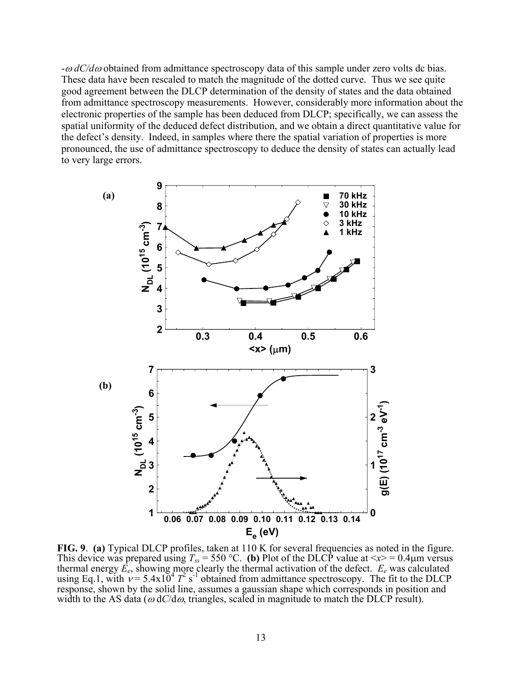-<sup>ω</sup> *dC/d*ω obtained from admittance spectroscopy data of this sample under zero volts dc bias. These data have been rescaled to match the magnitude of the dotted curve. Thus we see quite good agreement between the DLCP determination of the density of states and the data obtained from admittance spectroscopy measurements. However, considerably more information about the electronic properties of the sample has been deduced from DLCP; specifically, we can assess the spatial uniformity of the deduced defect distribution, and we obtain a direct quantitative value for the defect's density. Indeed, in samples where there the spatial variation of properties is more pronounced, the use of admittance spectroscopy to deduce the density of states can actually lead to very large errors.



**FIG. 9**. **(a)** Typical DLCP profiles, taken at 110 K for several frequencies as noted in the figure. This device was prepared using  $T_{ss} = 550 \,^{\circ}\text{C}$ . (b) Plot of the DLCP value at  $\langle x \rangle = 0.4 \mu \text{m}$  versus thermal energy  $\vec{E_e}$ , showing more clearly the thermal activation of the defect.  $E_e$  was calculated using Eq.1, with  $v = 5.4 \times 10^4 T^2$  s<sup>-1</sup> obtained from admittance spectroscopy. The fit to the DLCP response, shown by the solid line, assumes a gaussian shape which corresponds in position and width to the AS data ( $\omega dC/d\omega$ , triangles, scaled in magnitude to match the DLCP result).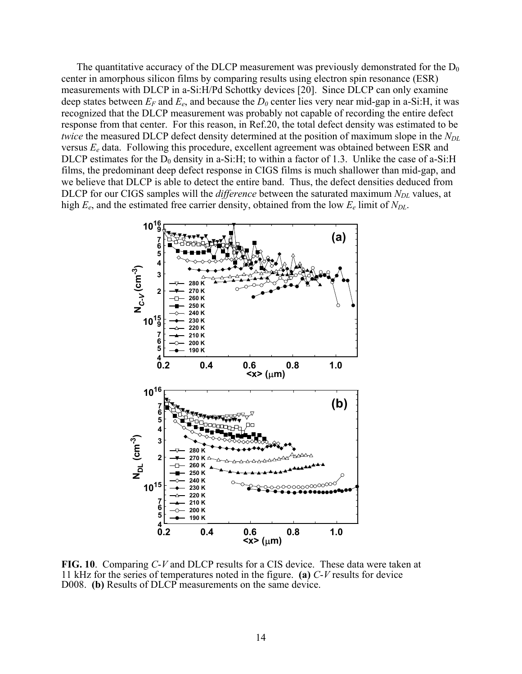The quantitative accuracy of the DLCP measurement was previously demonstrated for the  $D_0$ center in amorphous silicon films by comparing results using electron spin resonance (ESR) measurements with DLCP in a-Si:H/Pd Schottky devices [[20\]](#page-36-14). Since DLCP can only examine deep states between  $E_F$  and  $E_e$ , and because the  $D_0$  center lies very near mid-gap in a-Si:H, it was recognized that the DLCP measurement was probably not capable of recording the entire defect response from that center. For this reason, in Ref[.20,](#page-21-0) the total defect density was estimated to be *twice* the measured DLCP defect density determined at the position of maximum slope in the  $N_{DL}$ versus *Ee* data. Following this procedure, excellent agreement was obtained between ESR and DLCP estimates for the  $D_0$  density in a-Si:H; to within a factor of 1.3. Unlike the case of a-Si:H films, the predominant deep defect response in CIGS films is much shallower than mid-gap, and we believe that DLCP is able to detect the entire band. Thus, the defect densities deduced from DLCP for our CIGS samples will the *difference* between the saturated maximum *N<sub>DL</sub>* values, at high  $E_e$ , and the estimated free carrier density, obtained from the low  $E_e$  limit of  $N_{DL}$ .

<span id="page-21-0"></span>

**FIG. 10**. Comparing *C*-*V* and DLCP results for a CIS device. These data were taken at 11 kHz for the series of temperatures noted in the figure. **(a)** *C*-*V* results for device D008. **(b)** Results of DLCP measurements on the same device.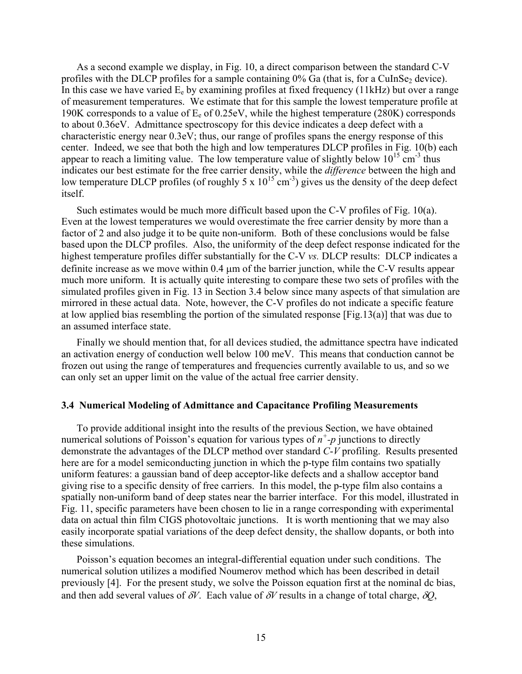<span id="page-22-0"></span>As a second example we display, in Fig. 10, a direct comparison between the standard C-V profiles with the DLCP profiles for a sample containing  $0\%$  Ga (that is, for a CuInSe<sub>2</sub> device). In this case we have varied  $E_e$  by examining profiles at fixed frequency (11kHz) but over a range of measurement temperatures. We estimate that for this sample the lowest temperature profile at 190K corresponds to a value of  $E_e$  of 0.25eV, while the highest temperature (280K) corresponds to about 0.36eV. Admittance spectroscopy for this device indicates a deep defect with a characteristic energy near 0.3eV; thus, our range of profiles spans the energy response of this center. Indeed, we see that both the high and low temperatures DLCP profiles in Fig. 10(b) each appear to reach a limiting value. The low temperature value of slightly below  $10^{15}$  cm<sup>-3</sup> thus indicates our best estimate for the free carrier density, while the *difference* between the high and low temperature DLCP profiles (of roughly 5 x  $10^{15}$  cm<sup>-3</sup>) gives us the density of the deep defect itself.

Such estimates would be much more difficult based upon the C-V profiles of Fig. 10(a). Even at the lowest temperatures we would overestimate the free carrier density by more than a factor of 2 and also judge it to be quite non-uniform. Both of these conclusions would be false based upon the DLCP profiles. Also, the uniformity of the deep defect response indicated for the highest temperature profiles differ substantially for the C-V *vs.* DLCP results: DLCP indicates a definite increase as we move within 0.4 µm of the barrier junction, while the C-V results appear much more uniform. It is actually quite interesting to compare these two sets of profiles with the simulated profiles given in Fig. 13 in Section 3.4 below since many aspects of that simulation are mirrored in these actual data. Note, however, the C-V profiles do not indicate a specific feature at low applied bias resembling the portion of the simulated response [Fig.13(a)] that was due to an assumed interface state.

Finally we should mention that, for all devices studied, the admittance spectra have indicated an activation energy of conduction well below 100 meV. This means that conduction cannot be frozen out using the range of temperatures and frequencies currently available to us, and so we can only set an upper limit on the value of the actual free carrier density.

#### **3.4 Numerical Modeling of Admittance and Capacitance Profiling Measurements**

To provide additional insight into the results of the previous Section, we have obtained numerical solutions of Poisson's equation for various types of *n<sup>+</sup> -p* junctions to directly demonstrate the advantages of the DLCP method over standard *C*-*V* profiling. Results presented here are for a model semiconducting junction in which the p-type film contains two spatially uniform features: a gaussian band of deep acceptor-like defects and a shallow acceptor band giving rise to a specific density of free carriers. In this model, the p-type film also contains a spatially non-uniform band of deep states near the barrier interface. For this model, illustrated in Fig. 11, specific parameters have been chosen to lie in a range corresponding with experimental data on actual thin film CIGS photovoltaic junctions. It is worth mentioning that we may also easily incorporate spatial variations of the deep defect density, the shallow dopants, or both into these simulations.

Poisson's equation becomes an integral-differential equation under such conditions. The numerical solution utilizes a modified Noumerov method which has been described in detail previously [\[4\]](#page-8-1). For the present study, we solve the Poisson equation first at the nominal dc bias, and then add several values of  $\delta V$ . Each value of  $\delta V$  results in a change of total charge,  $\delta Q$ ,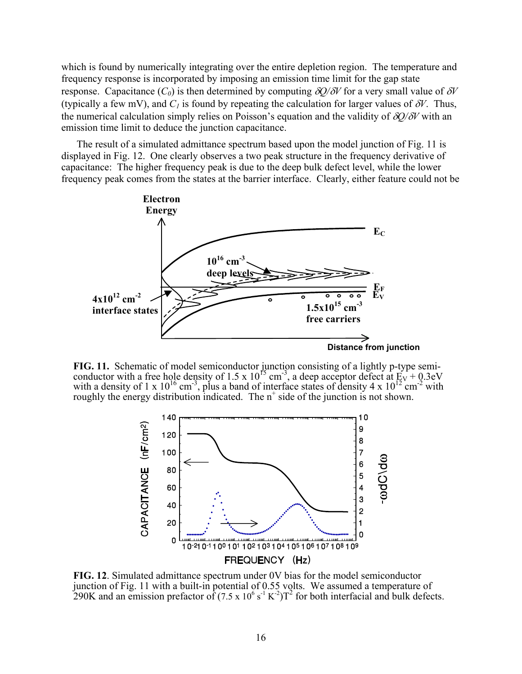which is found by numerically integrating over the entire depletion region. The temperature and frequency response is incorporated by imposing an emission time limit for the gap state response. Capacitance  $(C_0)$  is then determined by computing  $\delta Q/\delta V$  for a very small value of  $\delta V$ (typically a few mV), and  $C_l$  is found by repeating the calculation for larger values of  $\delta V$ . Thus, the numerical calculation simply relies on Poisson's equation and the validity of δ*Q/*δ*V* with an emission time limit to deduce the junction capacitance.

The result of a simulated admittance spectrum based upon the model junction of Fig. 11 is displayed in Fig. 12. One clearly observes a two peak structure in the frequency derivative of capacitance: The higher frequency peak is due to the deep bulk defect level, while the lower frequency peak comes from the states at the barrier interface. Clearly, either feature could not be



**FIG. 11.** Schematic of model semiconductor junction consisting of a lightly p-type semiconductor with a free hole density of 1.5 x 10<sup>15</sup> cm<sup>-3</sup>, a deep acceptor defect at  $E_V + 0.3eV$ with a density of 1 x  $10^{16}$  cm<sup>-3</sup>, plus a band of interface states of density 4 x  $10^{12}$  cm<sup>-2</sup> with roughly the energy distribution indicated. The  $n^+$  side of the junction is not shown.



**FIG. 12**. Simulated admittance spectrum under 0V bias for the model semiconductor junction of Fig. 11 with a built-in potential of 0.55 volts. We assumed a temperature of 290K and an emission prefactor of  $(7.5 \times 10^6 \text{ s}^{-1} \text{ K}^{-2})$  for both interfacial and bulk defects.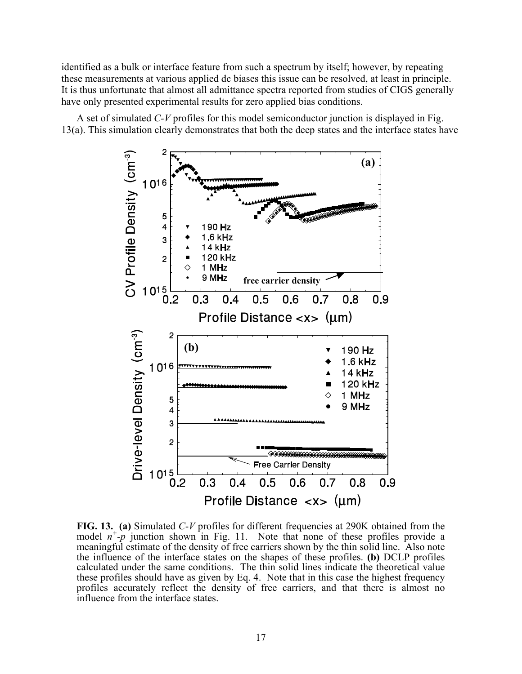identified as a bulk or interface feature from such a spectrum by itself; however, by repeating these measurements at various applied dc biases this issue can be resolved, at least in principle. It is thus unfortunate that almost all admittance spectra reported from studies of CIGS generally have only presented experimental results for zero applied bias conditions.

A set of simulated *C-V* profiles for this model semiconductor junction is displayed in Fig. 13(a). This simulation clearly demonstrates that both the deep states and the interface states have



**FIG. 13. (a)** Simulated *C*-*V* profiles for different frequencies at 290K obtained from the model  $n^+$ - $p$  junction shown in Fig. 11. Note that none of these profiles provide a meaningful estimate of the density of free carriers shown by the thin solid line. Also note the influence of the interface states on the shapes of these profiles. **(b)** DCLP profiles calculated under the same conditions. The thin solid lines indicate the theoretical value these profiles should have as given by Eq. 4. Note that in this case the highest frequency profiles accurately reflect the density of free carriers, and that there is almost no influence from the interface states.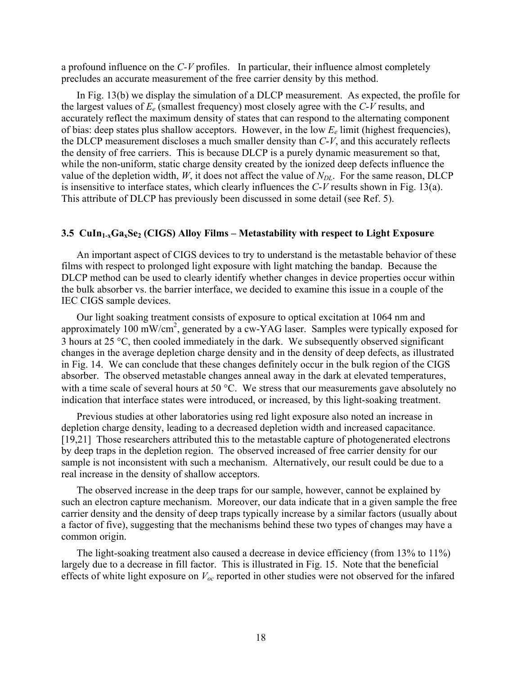<span id="page-25-0"></span>a profound influence on the *C-V* profiles. In particular, their influence almost completely precludes an accurate measurement of the free carrier density by this method.

In Fig. 13(b) we display the simulation of a DLCP measurement. As expected, the profile for the largest values of *Ee* (smallest frequency) most closely agree with the *C*-*V* results, and accurately reflect the maximum density of states that can respond to the alternating component of bias: deep states plus shallow acceptors. However, in the low *Ee* limit (highest frequencies), the DLCP measurement discloses a much smaller density than *C*-*V*, and this accurately reflects the density of free carriers. This is because DLCP is a purely dynamic measurement so that, while the non-uniform, static charge density created by the ionized deep defects influence the value of the depletion width, *W*, it does not affect the value of  $N_{DL}$ . For the same reason, DLCP is insensitive to interface states, which clearly influences the *C*-*V* results shown in Fig. 13(a). This attribute of DLCP has previously been discussed in some detail (see Ref. [5\)](#page-9-1).

#### **3.5 CuIn<sub>1-x</sub>Ga<sub>x</sub>Se<sub>2</sub> (CIGS) Alloy Films – Metastability with respect to Light Exposure**

An important aspect of CIGS devices to try to understand is the metastable behavior of these films with respect to prolonged light exposure with light matching the bandap. Because the DLCP method can be used to clearly identify whether changes in device properties occur within the bulk absorber vs. the barrier interface, we decided to examine this issue in a couple of the IEC CIGS sample devices.

Our light soaking treatment consists of exposure to optical excitation at 1064 nm and approximately 100 mW/cm<sup>2</sup>, generated by a cw-YAG laser. Samples were typically exposed for 3 hours at 25 °C, then cooled immediately in the dark. We subsequently observed significant changes in the average depletion charge density and in the density of deep defects, as illustrated in Fig. 14. We can conclude that these changes definitely occur in the bulk region of the CIGS absorber. The observed metastable changes anneal away in the dark at elevated temperatures, with a time scale of several hours at 50 °C. We stress that our measurements gave absolutely no indication that interface states were introduced, or increased, by this light-soaking treatment.

Previous studies at other laboratories using red light exposure also noted an increase in depletion charge density, leading to a decreased depletion width and increased capacitance. [[19,](#page-19-1)[21\]](#page-36-15) Those researchers attributed this to the metastable capture of photogenerated electrons by deep traps in the depletion region. The observed increased of free carrier density for our sample is not inconsistent with such a mechanism. Alternatively, our result could be due to a real increase in the density of shallow acceptors.

The observed increase in the deep traps for our sample, however, cannot be explained by such an electron capture mechanism. Moreover, our data indicate that in a given sample the free carrier density and the density of deep traps typically increase by a similar factors (usually about a factor of five), suggesting that the mechanisms behind these two types of changes may have a common origin.

The light-soaking treatment also caused a decrease in device efficiency (from 13% to 11%) largely due to a decrease in fill factor. This is illustrated in Fig. 15. Note that the beneficial effects of white light exposure on *Voc* reported in other studies were not observed for the infared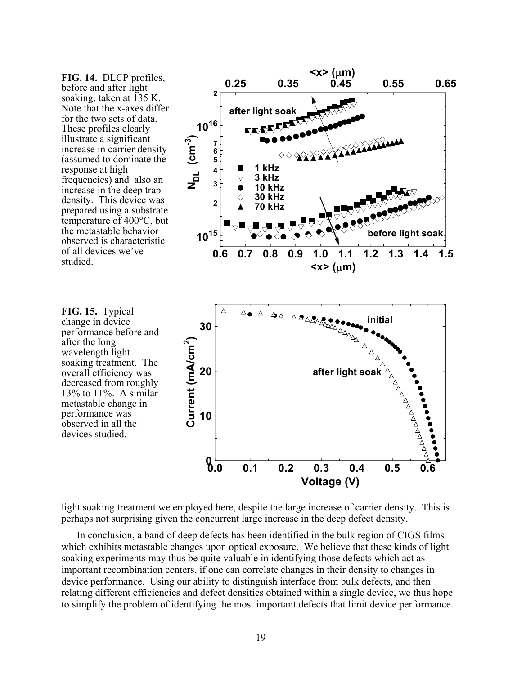**FIG. 14.** DLCP profiles, before and after light soaking, taken at  $\overline{135}$  K. Note that the x-axes differ for the two sets of data. These profiles clearly illustrate a significant increase in carrier density (assumed to dominate the response at high frequencies) and also an increase in the deep trap density. This device was prepared using a substrate temperature of 400°C, but the metastable behavior observed is characteristic of all devices we've studied.

after the long



light soaking treatment we employed here, despite the large increase of carrier density. This is perhaps not surprising given the concurrent large increase in the deep defect density.

In conclusion, a band of deep defects has been identified in the bulk region of CIGS films which exhibits metastable changes upon optical exposure. We believe that these kinds of light soaking experiments may thus be quite valuable in identifying those defects which act as important recombination centers, if one can correlate changes in their density to changes in device performance. Using our ability to distinguish interface from bulk defects, and then relating different efficiencies and defect densities obtained within a single device, we thus hope to simplify the problem of identifying the most important defects that limit device performance.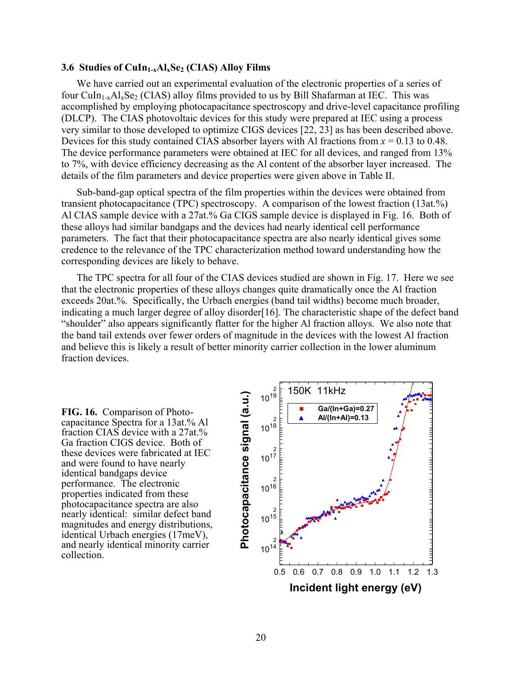#### <span id="page-27-0"></span>**3.6 Studies of CuIn1-xAlxSe2 (CIAS) Alloy Films**

We have carried out an experimental evaluation of the electronic properties of a series of four CuIn<sub>1-x</sub>Al<sub>x</sub>Se<sub>2</sub> (CIAS) alloy films provided to us by Bill Shafarman at IEC. This was accomplished by employing photocapacitance spectroscopy and drive-level capacitance profiling (DLCP). The CIAS photovoltaic devices for this study were prepared at IEC using a process very similar to those developed to optimize CIGS devices [\[22, 23\]](#page-36-16) as has been described above. Devices for this study contained CIAS absorber layers with Al fractions from  $x = 0.13$  to 0.48. The device performance parameters were obtained at IEC for all devices, and ranged from 13% to 7%, with device efficiency decreasing as the Al content of the absorber layer increased. The details of the film parameters and device properties were given above in Table II.

Sub-band-gap optical spectra of the film properties within the devices were obtained from transient photocapacitance (TPC) spectroscopy. A comparison of the lowest fraction (13at.%) Al CIAS sample device with a 27at.% Ga CIGS sample device is displayed in Fig. 16. Both of these alloys had similar bandgaps and the devices had nearly identical cell performance parameters. The fact that their photocapacitance spectra are also nearly identical gives some credence to the relevance of the TPC characterization method toward understanding how the corresponding devices are likely to behave.

The TPC spectra for all four of the CIAS devices studied are shown in Fig. 17. Here we see that the electronic properties of these alloys changes quite dramatically once the Al fraction exceeds 20at.%. Specifically, the Urbach energies (band tail widths) become much broader, indicating a much larger degree of alloy disorder[\[16\]](#page-13-0). The characteristic shape of the defect band "shoulder" also appears significantly flatter for the higher Al fraction alloys. We also note that the band tail extends over fewer orders of magnitude in the devices with the lowest Al fraction and believe this is likely a result of better minority carrier collection in the lower aluminum fraction devices.

**FIG. 16.** Comparison of Photocapacitance Spectra for a 13at.% Al fraction CIAS device with a 27at.% Ga fraction CIGS device. Both of these devices were fabricated at IEC and were found to have nearly identical bandgaps device performance. The electronic properties indicated from these photocapacitance spectra are also nearly identical: similar defect band magnitudes and energy distributions, identical Urbach energies (17meV), and nearly identical minority carrier collection.

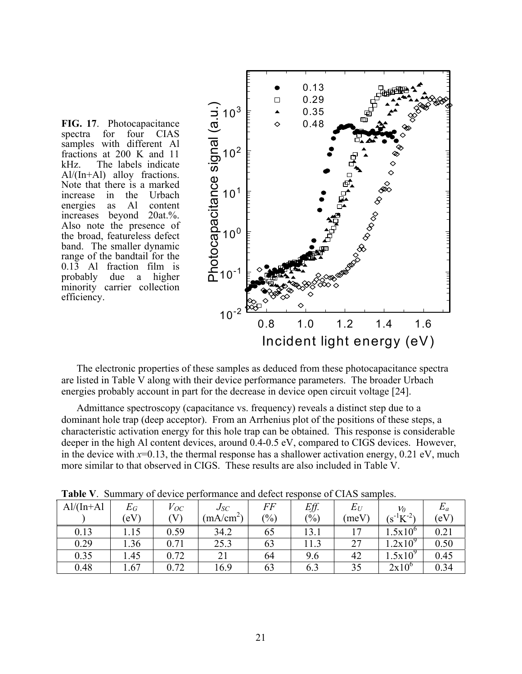

fractions at 200 K and 11 kHz. The labels indicate Al/(In+Al) alloy fractions. Note that there is a marked increase in the Urbach energies as Al content increases beyond 20at.%. Also note the presence of the broad, featureless defect band. The smaller dynamic range of the bandtail for the 0.13 Al fraction film is probably due a higher minority carrier collection efficiency.

**FIG. 17**. Photocapacitance spectra for four CIAS samples with different Al

The electronic properties of these samples as deduced from these photocapacitance spectra are listed in Table V along with their device performance parameters. The broader Urbach energies probably account in part for the decrease in device open circuit voltage [[24\]](#page-36-17).

Admittance spectroscopy (capacitance vs. frequency) reveals a distinct step due to a dominant hole trap (deep acceptor). From an Arrhenius plot of the positions of these steps, a characteristic activation energy for this hole trap can be obtained. This response is considerable deeper in the high Al content devices, around 0.4-0.5 eV, compared to CIGS devices. However, in the device with  $x=0.13$ , the thermal response has a shallower activation energy,  $0.21 \text{ eV}$ , much more similar to that observed in CIGS. These results are also included in Table V.

| $Al/(In+A]$ | $E_G\,$               | $V_{OC}$ | $J_{SC}$ | FF  | Eff.  | $E_U$          | $\nu_0$          | $E_a$ |
|-------------|-----------------------|----------|----------|-----|-------|----------------|------------------|-------|
|             | $\left($ eV $\right)$ | $\rm V$  | (mA/cm   | (%) | (0/0) | (meV)          | $(s^{-1}K^{-2})$ | 'eV   |
| 0.13        | 1.15                  | 0.59     | 34.2     | 6C  | 13.1  |                | $.5x10^{\circ}$  | 0.21  |
| 0.29        | .36                   | 0.71     | 25.3     | 63  |       | $\overline{a}$ | $.2x10^9$        | 0.50  |
| 0.35        | 1.45                  | 0.72     | 21       | 64  | 9.6   | 42             | 1.5x10           | 0.45  |
| 0.48        | .67                   | 0.72     | 16.9     | 63  | 0.3   | 35             | $2x10^6$         | 0.34  |

**Table V**. Summary of device performance and defect response of CIAS samples.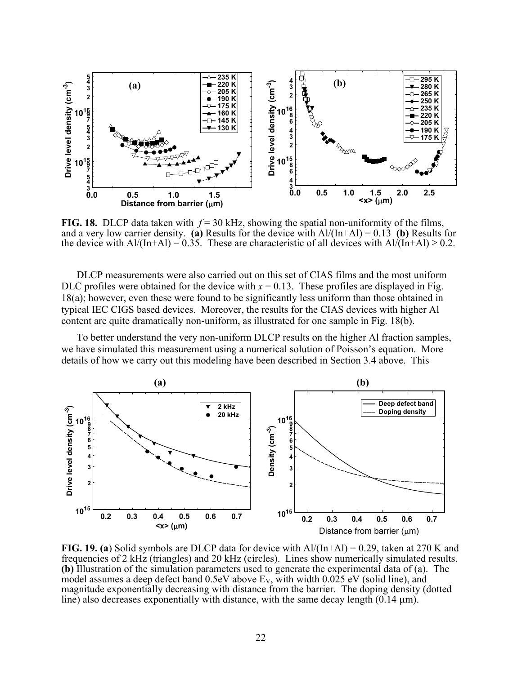

**FIG. 18.** DLCP data taken with  $f = 30$  kHz, showing the spatial non-uniformity of the films, and a very low carrier density. **(a)** Results for the device with Al/(In+Al) = 0.13 **(b)** Results for the device with  $Al/(In+Al) = 0.35$ . These are characteristic of all devices with  $Al/(In+Al) \ge 0.2$ .

DLCP measurements were also carried out on this set of CIAS films and the most uniform DLC profiles were obtained for the device with  $x = 0.13$ . These profiles are displayed in Fig. 18(a); however, even these were found to be significantly less uniform than those obtained in typical IEC CIGS based devices. Moreover, the results for the CIAS devices with higher Al content are quite dramatically non-uniform, as illustrated for one sample in Fig. 18(b).

To better understand the very non-uniform DLCP results on the higher Al fraction samples, we have simulated this measurement using a numerical solution of Poisson's equation. More details of how we carry out this modeling have been described in Section 3.4 above. This



**FIG. 19. (a**) Solid symbols are DLCP data for device with Al/(In+Al) = 0.29, taken at 270 K and frequencies of 2 kHz (triangles) and 20 kHz (circles). Lines show numerically simulated results. **(b)** Illustration of the simulation parameters used to generate the experimental data of (a). The model assumes a deep defect band  $0.5eV$  above  $E_V$ , with width  $0.025$  eV (solid line), and magnitude exponentially decreasing with distance from the barrier. The doping density (dotted line) also decreases exponentially with distance, with the same decay length  $(0.14 \text{ }\mu\text{m})$ .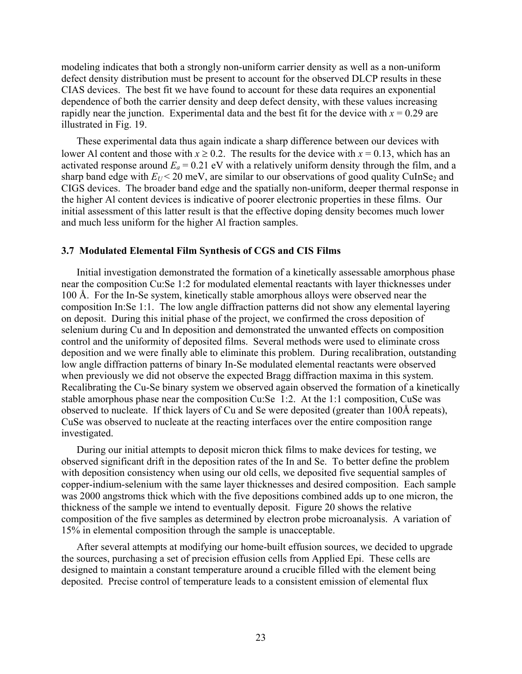<span id="page-30-0"></span>modeling indicates that both a strongly non-uniform carrier density as well as a non-uniform defect density distribution must be present to account for the observed DLCP results in these CIAS devices. The best fit we have found to account for these data requires an exponential dependence of both the carrier density and deep defect density, with these values increasing rapidly near the junction. Experimental data and the best fit for the device with  $x = 0.29$  are illustrated in Fig. 19.

These experimental data thus again indicate a sharp difference between our devices with lower Al content and those with  $x \ge 0.2$ . The results for the device with  $x = 0.13$ , which has an activated response around  $E_a = 0.21$  eV with a relatively uniform density through the film, and a sharp band edge with  $E_U < 20$  meV, are similar to our observations of good quality CuInSe<sub>2</sub> and CIGS devices. The broader band edge and the spatially non-uniform, deeper thermal response in the higher Al content devices is indicative of poorer electronic properties in these films. Our initial assessment of this latter result is that the effective doping density becomes much lower and much less uniform for the higher Al fraction samples.

#### **3.7 Modulated Elemental Film Synthesis of CGS and CIS Films**

Initial investigation demonstrated the formation of a kinetically assessable amorphous phase near the composition Cu:Se 1:2 for modulated elemental reactants with layer thicknesses under 100 Å. For the In-Se system, kinetically stable amorphous alloys were observed near the composition In:Se 1:1. The low angle diffraction patterns did not show any elemental layering on deposit. During this initial phase of the project, we confirmed the cross deposition of selenium during Cu and In deposition and demonstrated the unwanted effects on composition control and the uniformity of deposited films. Several methods were used to eliminate cross deposition and we were finally able to eliminate this problem. During recalibration, outstanding low angle diffraction patterns of binary In-Se modulated elemental reactants were observed when previously we did not observe the expected Bragg diffraction maxima in this system. Recalibrating the Cu-Se binary system we observed again observed the formation of a kinetically stable amorphous phase near the composition Cu:Se 1:2. At the 1:1 composition, CuSe was observed to nucleate. If thick layers of Cu and Se were deposited (greater than 100Å repeats), CuSe was observed to nucleate at the reacting interfaces over the entire composition range investigated.

During our initial attempts to deposit micron thick films to make devices for testing, we observed significant drift in the deposition rates of the In and Se. To better define the problem with deposition consistency when using our old cells, we deposited five sequential samples of copper-indium-selenium with the same layer thicknesses and desired composition. Each sample was 2000 angstroms thick which with the five depositions combined adds up to one micron, the thickness of the sample we intend to eventually deposit. Figure 20 shows the relative composition of the five samples as determined by electron probe microanalysis. A variation of 15% in elemental composition through the sample is unacceptable.

After several attempts at modifying our home-built effusion sources, we decided to upgrade the sources, purchasing a set of precision effusion cells from Applied Epi. These cells are designed to maintain a constant temperature around a crucible filled with the element being deposited. Precise control of temperature leads to a consistent emission of elemental flux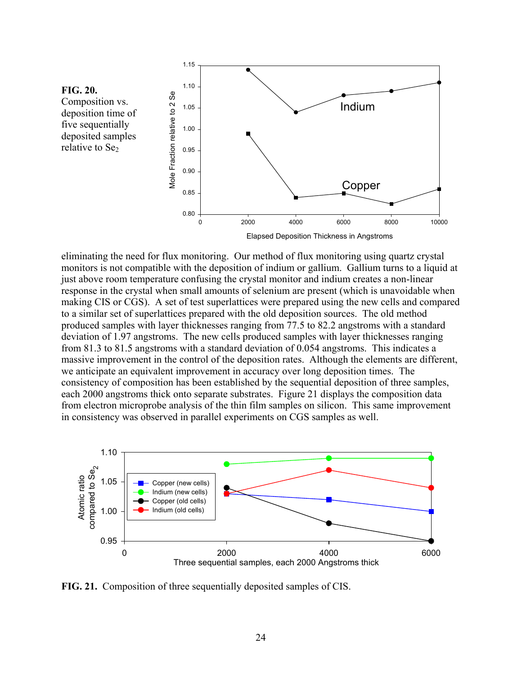

eliminating the need for flux monitoring. Our method of flux monitoring using quartz crystal monitors is not compatible with the deposition of indium or gallium. Gallium turns to a liquid at just above room temperature confusing the crystal monitor and indium creates a non-linear response in the crystal when small amounts of selenium are present (which is unavoidable when making CIS or CGS). A set of test superlattices were prepared using the new cells and compared to a similar set of superlattices prepared with the old deposition sources. The old method produced samples with layer thicknesses ranging from 77.5 to 82.2 angstroms with a standard deviation of 1.97 angstroms. The new cells produced samples with layer thicknesses ranging from 81.3 to 81.5 angstroms with a standard deviation of 0.054 angstroms. This indicates a massive improvement in the control of the deposition rates. Although the elements are different, we anticipate an equivalent improvement in accuracy over long deposition times. The consistency of composition has been established by the sequential deposition of three samples, each 2000 angstroms thick onto separate substrates. Figure 21 displays the composition data from electron microprobe analysis of the thin film samples on silicon. This same improvement in consistency was observed in parallel experiments on CGS samples as well.



**FIG. 21.** Composition of three sequentially deposited samples of CIS.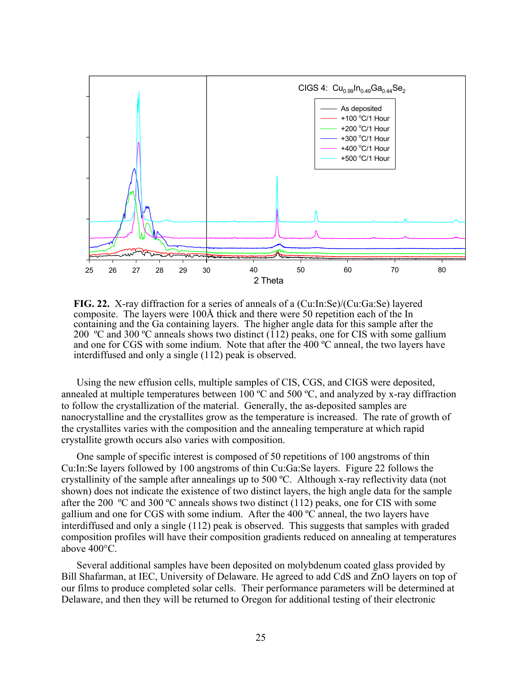

**FIG. 22.** X-ray diffraction for a series of anneals of a (Cu:In:Se)/(Cu:Ga:Se) layered composite. The layers were 100Å thick and there were 50 repetition each of the In containing and the Ga containing layers. The higher angle data for this sample after the 200 ºC and 300 ºC anneals shows two distinct (112) peaks, one for CIS with some gallium and one for CGS with some indium. Note that after the 400 ºC anneal, the two layers have interdiffused and only a single (112) peak is observed.

Using the new effusion cells, multiple samples of CIS, CGS, and CIGS were deposited, annealed at multiple temperatures between 100 ºC and 500 ºC, and analyzed by x-ray diffraction to follow the crystallization of the material. Generally, the as-deposited samples are nanocrystalline and the crystallites grow as the temperature is increased. The rate of growth of the crystallites varies with the composition and the annealing temperature at which rapid crystallite growth occurs also varies with composition.

One sample of specific interest is composed of 50 repetitions of 100 angstroms of thin Cu:In:Se layers followed by 100 angstroms of thin Cu:Ga:Se layers. Figure 22 follows the crystallinity of the sample after annealings up to 500 ºC. Although x-ray reflectivity data (not shown) does not indicate the existence of two distinct layers, the high angle data for the sample after the 200 ºC and 300 ºC anneals shows two distinct (112) peaks, one for CIS with some gallium and one for CGS with some indium. After the 400 ºC anneal, the two layers have interdiffused and only a single (112) peak is observed. This suggests that samples with graded composition profiles will have their composition gradients reduced on annealing at temperatures above 400°C.

Several additional samples have been deposited on molybdenum coated glass provided by Bill Shafarman, at IEC, University of Delaware. He agreed to add CdS and ZnO layers on top of our films to produce completed solar cells. Their performance parameters will be determined at Delaware, and then they will be returned to Oregon for additional testing of their electronic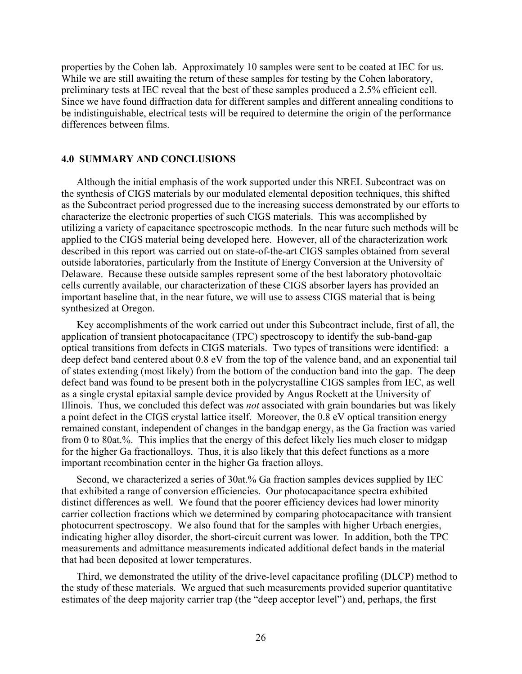<span id="page-33-0"></span>properties by the Cohen lab. Approximately 10 samples were sent to be coated at IEC for us. While we are still awaiting the return of these samples for testing by the Cohen laboratory, preliminary tests at IEC reveal that the best of these samples produced a 2.5% efficient cell. Since we have found diffraction data for different samples and different annealing conditions to be indistinguishable, electrical tests will be required to determine the origin of the performance differences between films.

#### **4.0 SUMMARY AND CONCLUSIONS**

Although the initial emphasis of the work supported under this NREL Subcontract was on the synthesis of CIGS materials by our modulated elemental deposition techniques, this shifted as the Subcontract period progressed due to the increasing success demonstrated by our efforts to characterize the electronic properties of such CIGS materials. This was accomplished by utilizing a variety of capacitance spectroscopic methods. In the near future such methods will be applied to the CIGS material being developed here. However, all of the characterization work described in this report was carried out on state-of-the-art CIGS samples obtained from several outside laboratories, particularly from the Institute of Energy Conversion at the University of Delaware. Because these outside samples represent some of the best laboratory photovoltaic cells currently available, our characterization of these CIGS absorber layers has provided an important baseline that, in the near future, we will use to assess CIGS material that is being synthesized at Oregon.

Key accomplishments of the work carried out under this Subcontract include, first of all, the application of transient photocapacitance (TPC) spectroscopy to identify the sub-band-gap optical transitions from defects in CIGS materials. Two types of transitions were identified: a deep defect band centered about 0.8 eV from the top of the valence band, and an exponential tail of states extending (most likely) from the bottom of the conduction band into the gap. The deep defect band was found to be present both in the polycrystalline CIGS samples from IEC, as well as a single crystal epitaxial sample device provided by Angus Rockett at the University of Illinois. Thus, we concluded this defect was *not* associated with grain boundaries but was likely a point defect in the CIGS crystal lattice itself. Moreover, the 0.8 eV optical transition energy remained constant, independent of changes in the bandgap energy, as the Ga fraction was varied from 0 to 80at.%. This implies that the energy of this defect likely lies much closer to midgap for the higher Ga fractionalloys. Thus, it is also likely that this defect functions as a more important recombination center in the higher Ga fraction alloys.

Second, we characterized a series of 30at.% Ga fraction samples devices supplied by IEC that exhibited a range of conversion efficiencies. Our photocapacitance spectra exhibited distinct differences as well. We found that the poorer efficiency devices had lower minority carrier collection fractions which we determined by comparing photocapacitance with transient photocurrent spectroscopy. We also found that for the samples with higher Urbach energies, indicating higher alloy disorder, the short-circuit current was lower. In addition, both the TPC measurements and admittance measurements indicated additional defect bands in the material that had been deposited at lower temperatures.

Third, we demonstrated the utility of the drive-level capacitance profiling (DLCP) method to the study of these materials. We argued that such measurements provided superior quantitative estimates of the deep majority carrier trap (the "deep acceptor level") and, perhaps, the first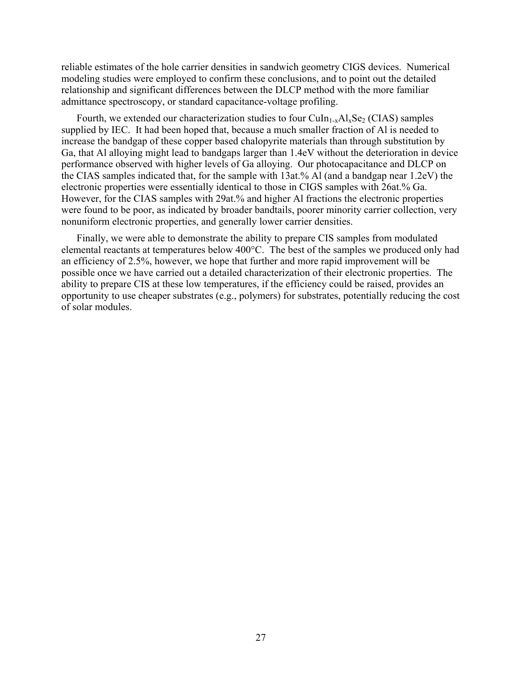reliable estimates of the hole carrier densities in sandwich geometry CIGS devices. Numerical modeling studies were employed to confirm these conclusions, and to point out the detailed relationship and significant differences between the DLCP method with the more familiar admittance spectroscopy, or standard capacitance-voltage profiling.

Fourth, we extended our characterization studies to four  $CuIn_{1-x}Al_xSe_2$  (CIAS) samples supplied by IEC. It had been hoped that, because a much smaller fraction of Al is needed to increase the bandgap of these copper based chalopyrite materials than through substitution by Ga, that Al alloying might lead to bandgaps larger than 1.4eV without the deterioration in device performance observed with higher levels of Ga alloying. Our photocapacitance and DLCP on the CIAS samples indicated that, for the sample with 13at.% Al (and a bandgap near 1.2eV) the electronic properties were essentially identical to those in CIGS samples with 26at.% Ga. However, for the CIAS samples with 29at.% and higher Al fractions the electronic properties were found to be poor, as indicated by broader bandtails, poorer minority carrier collection, very nonuniform electronic properties, and generally lower carrier densities.

Finally, we were able to demonstrate the ability to prepare CIS samples from modulated elemental reactants at temperatures below 400°C. The best of the samples we produced only had an efficiency of 2.5%, however, we hope that further and more rapid improvement will be possible once we have carried out a detailed characterization of their electronic properties. The ability to prepare CIS at these low temperatures, if the efficiency could be raised, provides an opportunity to use cheaper substrates (e.g., polymers) for substrates, potentially reducing the cost of solar modules.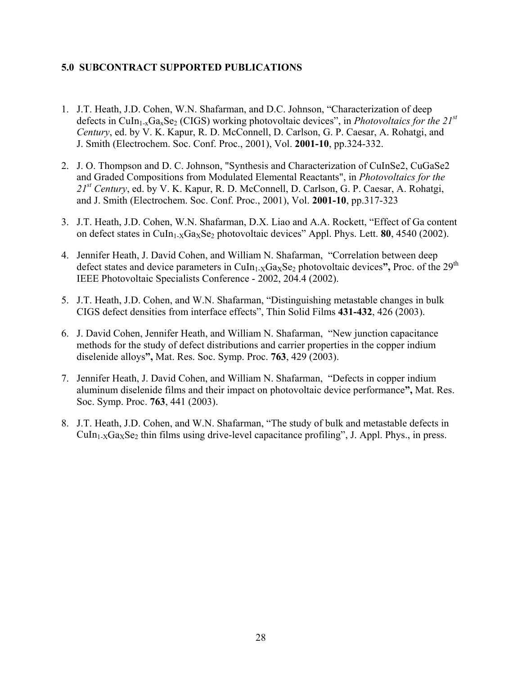# <span id="page-35-0"></span>**5.0 SUBCONTRACT SUPPORTED PUBLICATIONS**

- 1. J.T. Heath, J.D. Cohen, W.N. Shafarman, and D.C. Johnson, "Characterization of deep defects in CuIn1-xGaxSe2 (CIGS) working photovoltaic devices", in *Photovoltaics for the 21st Century*, ed. by V. K. Kapur, R. D. McConnell, D. Carlson, G. P. Caesar, A. Rohatgi, and J. Smith (Electrochem. Soc. Conf. Proc., 2001), Vol. **2001-10**, pp.324-332.
- 2. J. O. Thompson and D. C. Johnson, "Synthesis and Characterization of CuInSe2, CuGaSe2 and Graded Compositions from Modulated Elemental Reactants", in *Photovoltaics for the 21st Century*, ed. by V. K. Kapur, R. D. McConnell, D. Carlson, G. P. Caesar, A. Rohatgi, and J. Smith (Electrochem. Soc. Conf. Proc., 2001), Vol. **2001-10**, pp.317-323
- 3. J.T. Heath, J.D. Cohen, W.N. Shafarman, D.X. Liao and A.A. Rockett, "Effect of Ga content on defect states in CuIn<sub>1-X</sub>Ga<sub>X</sub>Se<sub>2</sub> photovoltaic devices" Appl. Phys. Lett. **80**, 4540 (2002).
- 4. Jennifer Heath, J. David Cohen, and William N. Shafarman, "Correlation between deep defect states and device parameters in CuIn<sub>1-X</sub>Ga<sub>x</sub>Se<sub>2</sub> photovoltaic devices", Proc. of the 29<sup>th</sup> IEEE Photovoltaic Specialists Conference - 2002, 204.4 (2002).
- 5. J.T. Heath, J.D. Cohen, and W.N. Shafarman, "Distinguishing metastable changes in bulk CIGS defect densities from interface effects", Thin Solid Films **431-432**, 426 (2003).
- 6. J. David Cohen, Jennifer Heath, and William N. Shafarman, "New junction capacitance methods for the study of defect distributions and carrier properties in the copper indium diselenide alloys**",** Mat. Res. Soc. Symp. Proc. **763**, 429 (2003).
- 7. Jennifer Heath, J. David Cohen, and William N. Shafarman, "Defects in copper indium aluminum diselenide films and their impact on photovoltaic device performance**",** Mat. Res. Soc. Symp. Proc. **763**, 441 (2003).
- 8. J.T. Heath, J.D. Cohen, and W.N. Shafarman, "The study of bulk and metastable defects in  $Culn<sub>1-X</sub>Ga<sub>X</sub>Se<sub>2</sub>$  thin films using drive-level capacitance profiling", J. Appl. Phys., in press.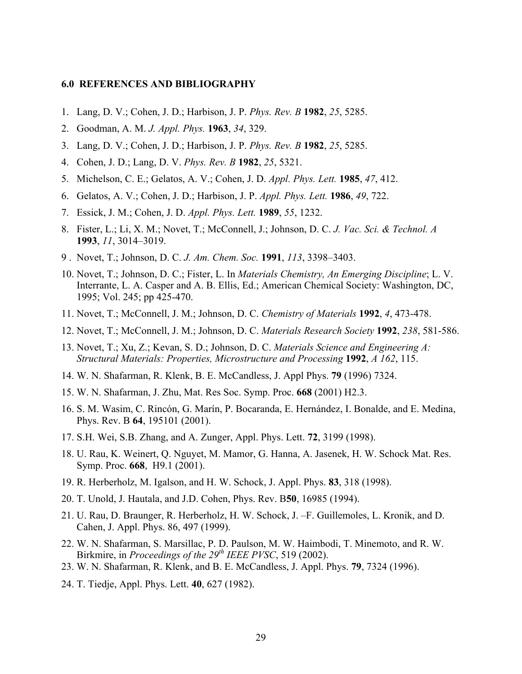#### <span id="page-36-14"></span><span id="page-36-0"></span>**6.0 REFERENCES AND BIBLIOGRAPHY**

- <span id="page-36-7"></span><span id="page-36-1"></span>1. Lang, D. V.; Cohen, J. D.; Harbison, J. P. *Phys. Rev. B* **1982**, *25*, 5285.
- <span id="page-36-16"></span><span id="page-36-8"></span>2. Goodman, A. M. *J. Appl. Phys.* **1963**, *34*, 329.
- <span id="page-36-13"></span>3. Lang, D. V.; Cohen, J. D.; Harbison, J. P. *Phys. Rev. B* **1982**, *25*, 5285.
- <span id="page-36-5"></span>4. Cohen, J. D.; Lang, D. V. *Phys. Rev. B* **1982**, *25*, 5321.
- 5. Michelson, C. E.; Gelatos, A. V.; Cohen, J. D. *Appl. Phys. Lett.* **1985**, *47*, 412.
- 6. Gelatos, A. V.; Cohen, J. D.; Harbison, J. P. *Appl. Phys. Lett.* **1986**, *49*, 722.
- 7. Essick, J. M.; Cohen, J. D. *Appl. Phys. Lett.* **1989**, *55*, 1232.
- 8. Fister, L.; Li, X. M.; Novet, T.; McConnell, J.; Johnson, D. C. *J. Vac. Sci. & Technol. A*  **1993**, *11*, 3014–3019.
- 9 . Novet, T.; Johnson, D. C. *J. Am. Chem. Soc.* **1991**, *113*, 3398–3403.
- <span id="page-36-9"></span>10. Novet, T.; Johnson, D. C.; Fister, L. In *Materials Chemistry, An Emerging Discipline*; L. V. Interrante, L. A. Casper and A. B. Ellis, Ed.; American Chemical Society: Washington, DC, 1995; Vol. 245; pp 425-470.
- 11. Novet, T.; McConnell, J. M.; Johnson, D. C. *Chemistry of Materials* **1992**, *4*, 473-478.
- 12. Novet, T.; McConnell, J. M.; Johnson, D. C. *Materials Research Society* **1992**, *238*, 581-586.
- <span id="page-36-12"></span><span id="page-36-4"></span>13. Novet, T.; Xu, Z.; Kevan, S. D.; Johnson, D. C. *Materials Science and Engineering A: Structural Materials: Properties, Microstructure and Processing* **1992**, *A 162*, 115.
- 14. W. N. Shafarman, R. Klenk, B. E. McCandless, J. Appl Phys. **79** (1996) 7324.
- <span id="page-36-17"></span><span id="page-36-11"></span>15. W. N. Shafarman, J. Zhu, Mat. Res Soc. Symp. Proc. **668** (2001) H2.3.
- <span id="page-36-2"></span>16. S. M. Wasim, C. Rincón, G. Marín, P. Bocaranda, E. Hernández, I. Bonalde, and E. Medina, Phys. Rev. B **64**, 195101 (2001).
- <span id="page-36-15"></span><span id="page-36-3"></span>17. S.H. Wei, S.B. Zhang, and A. Zunger, Appl. Phys. Lett. **72**, 3199 (1998).
- 18. U. Rau, K. Weinert, Q. Nguyet, M. Mamor, G. Hanna, A. Jasenek, H. W. Schock Mat. Res. Symp. Proc. **668**, H9.1 (2001).
- 19. R. Herberholz, M. Igalson, and H. W. Schock, J. Appl. Phys. **83**, 318 (1998).
- <span id="page-36-10"></span>20. T. Unold, J. Hautala, and J.D. Cohen, Phys. Rev. B**50**, 16985 (1994).
- 21. U. Rau, D. Braunger, R. Herberholz, H. W. Schock, J. –F. Guillemoles, L. Kronik, and D. Cahen, J. Appl. Phys. 86, 497 (1999).
- <span id="page-36-6"></span>22. W. N. Shafarman, S. Marsillac, P. D. Paulson, M. W. Haimbodi, T. Minemoto, and R. W. Birkmire, in *Proceedings of the 29th IEEE PVSC*, 519 (2002).
- 23. W. N. Shafarman, R. Klenk, and B. E. McCandless, J. Appl. Phys. **79**, 7324 (1996).
- 24. T. Tiedje, Appl. Phys. Lett. **40**, 627 (1982).